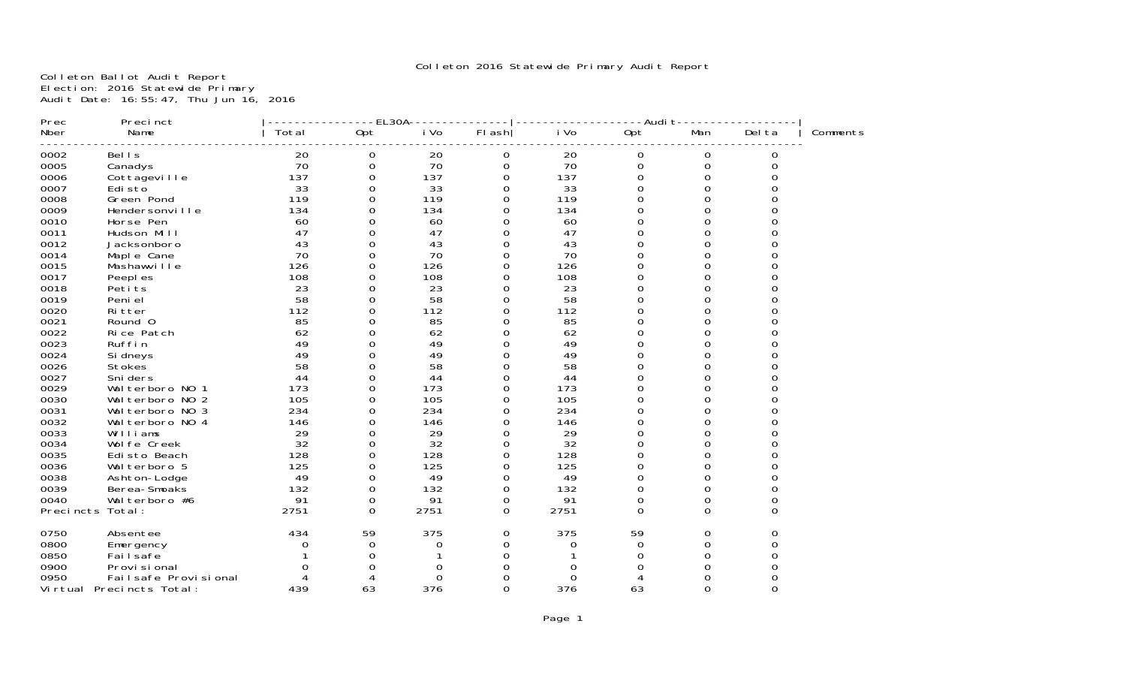Colleton Ballot Audit Report Election: 2016 Statewide Primary Audit Date: 16:55:47, Thu Jun 16, 2016

| Prec      | Precinct             |       | EL30A        |          |                  |      | -Audi t  |          |          |          |
|-----------|----------------------|-------|--------------|----------|------------------|------|----------|----------|----------|----------|
| Nber      | Name                 | Total | Opt          | i Vo     | FI ash           | i Vo | Opt      | Man      | Del ta   | Comments |
| 0002      | <b>Bells</b>         | 20    | 0            | 20       | $\boldsymbol{0}$ | 20   | 0        | 0        | 0        |          |
| 0005      | Canadys              | 70    | 0            | 70       | 0                | 70   | 0        | 0        | 0        |          |
| 0006      | Cottageville         | 137   | 0            | 137      | 0                | 137  | 0        | 0        | 0        |          |
| 0007      | Edi sto              | 33    | 0            | 33       | $\Omega$         | 33   | $\Omega$ | $\Omega$ |          |          |
| 0008      | Green Pond           | 119   |              | 119      | 0                | 119  | 0        | 0        |          |          |
| 0009      | Hendersonville       | 134   | 0            | 134      | 0                | 134  | 0        | 0        |          |          |
| 0010      | Horse Pen            | 60    |              | 60       | 0                | 60   | 0        | U        |          |          |
| 0011      | Hudson Mill          | 47    | 0            | 47       | 0                | 47   | 0        | $\Omega$ |          |          |
| 0012      | Jacksonboro          | 43    |              | 43       | 0                | 43   | 0        | 0        |          |          |
| 0014      | Maple Cane           | 70    | 0            | 70       | 0                | 70   | 0        | 0        |          |          |
| 0015      | Mashawville          | 126   | U            | 126      | 0                | 126  | 0        | Ω        |          |          |
| 0017      | Peepl es             | 108   |              | 108      | 0                | 108  | 0        | 0        |          |          |
| 0018      | Petits               | 23    | 0            | 23       | 0                | 23   | 0        | 0        |          |          |
| 0019      | Peni el              | 58    |              | 58       | 0                | 58   | 0        | ი        |          |          |
| 0020      | Ri tter              | 112   | <sup>n</sup> | 112      | 0                | 112  | 0        | O        |          |          |
| 0021      | Round 0              | 85    |              | 85       | 0                | 85   | 0        | 0        |          |          |
| 0022      | Rice Patch           | 62    |              | 62       | ი                | 62   | 0        | 0        |          |          |
| 0023      | Ruffin               | 49    |              | 49       | ი                | 49   | 0        | ი        |          |          |
| 0024      | Si dneys             | 49    |              | 49       | 0                | 49   | $\Omega$ | Ω        |          |          |
| 0026      | <b>Stokes</b>        | 58    |              | 58       | ი                | 58   | 0        | 0        |          |          |
| 0027      | Sni ders             | 44    |              | 44       | ი                | 44   | 0        |          |          |          |
| 0029      | Wal terboro NO       | 173   |              | 173      | 0                | 173  | 0        | 0        |          |          |
| 0030      | Wal terboro NO 2     | 105   | 0            | 105      | 0                | 105  | $\Omega$ | O        |          |          |
| 0031      | Wal terboro NO 3     | 234   | 0            | 234      | 0                | 234  | 0        | 0        |          |          |
| 0032      | Walterboro NO 4      | 146   | 0            | 146      | ი                | 146  | 0        | 0        |          |          |
| 0033      | Williams             | 29    | O            | 29       | 0                | 29   | 0        | O        |          |          |
| 0034      | Wol fe Creek         | 32    | U            | 32       | 0                | 32   | 0        | 0        |          |          |
| 0035      | Edisto Beach         | 128   | 0            | 128      | 0                | 128  | 0        | 0        |          |          |
| 0036      | Wal terboro 5        | 125   | 0            | 125      | 0                | 125  | 0        | Ω        |          |          |
| 0038      | Ashton-Lodge         | 49    | 0            | 49       | 0                | 49   | 0        | 0        |          |          |
| 0039      | Berea-Smoaks         | 132   | 0            | 132      | 0                | 132  | 0        | 0        |          |          |
| 0040      | Wal terboro #6       | 91    | 0            | 91       | 0                | 91   | 0        | 0        | 0        |          |
| Precincts | Total:               | 2751  | $\Omega$     | 2751     | 0                | 2751 | $\Omega$ | $\Omega$ | $\Omega$ |          |
| 0750      | Absentee             | 434   | 59           | 375      | 0                | 375  | 59       | 0        |          |          |
| 0800      | Emergency            |       | 0            | 0        | 0                | 0    | 0        | 0        |          |          |
| 0850      | Failsafe             |       | 0            |          | ი                |      | Ω        | 0        |          |          |
| 0900      | Provi si onal        |       |              | 0        | O                |      |          | O        |          |          |
| 0950      | Failsafe Provisional |       |              | $\Omega$ | ი                | O    |          | O        |          |          |
| Vi rtual  | Precincts Total:     | 439   | 63           | 376      | 0                | 376  | 63       | 0        | $\Omega$ |          |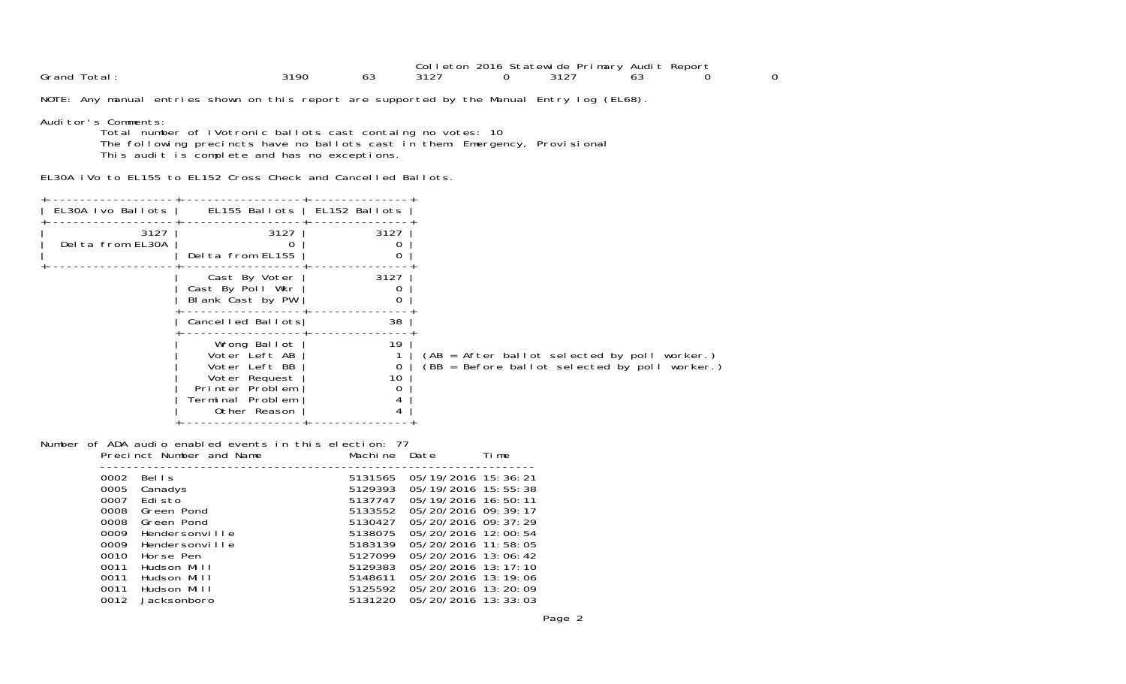|                |      |    | 2016<br>JoL<br>etor | ~ | --<br>`tatewide<br>.marv<br>⊃r' | -<br>– Renor<br>Audi |  |
|----------------|------|----|---------------------|---|---------------------------------|----------------------|--|
| Grand<br>lotal | 210c | oc | <b>.</b>            |   | .                               | ಂ                    |  |

NOTE: Any manual entries shown on this report are supported by the Manual Entry log (EL68).

Auditor's Comments:

 Total number of iVotronic ballots cast containg no votes: 10 The following precincts have no ballots cast in them: Emergency, Provisional This audit is complete and has no exceptions.

EL30A iVo to EL155 to EL152 Cross Check and Cancelled Ballots.

| EL155 Ballots   EL152 Ballots<br>EL30A Ivo Ballots<br>3127<br>3127<br>3127<br>Delta from EL30A<br>Delta from EL155<br>3127<br>Cast By Voter<br>Cast By Poll Wkr<br>Blank Cast by PW<br>Cancelled Ballots<br>38<br>19<br>Wrong Ballot<br>Voter Left AB<br>Voter Left BB<br>10<br>Voter Request<br>Printer Problem<br>Terminal Problem<br>Other Reason |  |  |                                                                                                        |
|------------------------------------------------------------------------------------------------------------------------------------------------------------------------------------------------------------------------------------------------------------------------------------------------------------------------------------------------------|--|--|--------------------------------------------------------------------------------------------------------|
|                                                                                                                                                                                                                                                                                                                                                      |  |  |                                                                                                        |
|                                                                                                                                                                                                                                                                                                                                                      |  |  |                                                                                                        |
|                                                                                                                                                                                                                                                                                                                                                      |  |  |                                                                                                        |
|                                                                                                                                                                                                                                                                                                                                                      |  |  |                                                                                                        |
|                                                                                                                                                                                                                                                                                                                                                      |  |  | (AB = After ballot selected by poll worker.)<br>$\hat{C}$ BB = Before ballot selected by poll worker.) |

Number of ADA audio enabled events in this election: 77 Precinct Number and Name Machine Date Time

| 0002 | Bells          | 5131565 | 05/19/2016 15:36:21   |
|------|----------------|---------|-----------------------|
| 0005 | Canadys        | 5129393 | 05/19/2016 15:55:38   |
| 0007 | Edi sto        | 5137747 | 05/19/2016 16:50:11   |
| 0008 | Green Pond     | 5133552 | 05/20/2016 09:39:17   |
| 0008 | Green Pond     | 5130427 | 05/20/2016 09: 37: 29 |
| 0009 | Hendersonville | 5138075 | 05/20/2016 12:00:54   |
| 0009 | Hendersonville | 5183139 | 05/20/2016 11:58:05   |
| 0010 | Horse Pen      | 5127099 | 05/20/2016 13:06:42   |
| 0011 | Hudson Mill    | 5129383 | 05/20/2016 13:17:10   |
| 0011 | Hudson Mill    | 5148611 | 05/20/2016 13:19:06   |
| 0011 | Hudson Mill    | 5125592 | 05/20/2016 13:20:09   |
| 0012 | Jacksonboro    | 5131220 | 05/20/2016 13: 33: 03 |
|      |                |         |                       |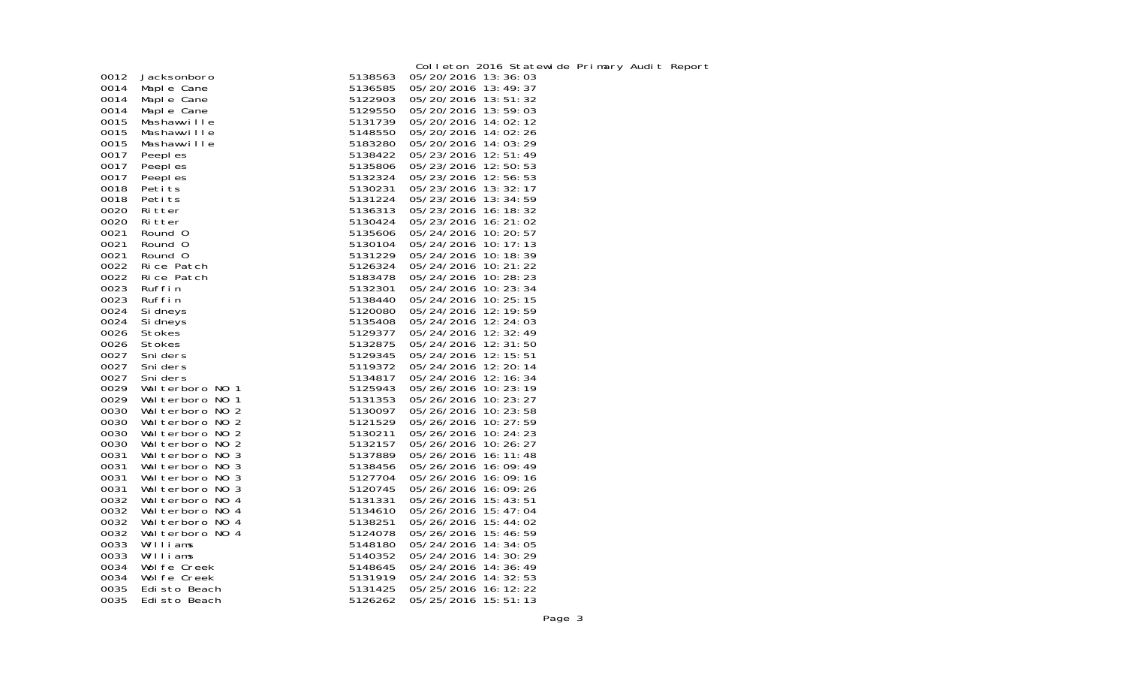|      |                  |         | Colleton 2016 Statewide Primary Audit Report |
|------|------------------|---------|----------------------------------------------|
| 0012 | Jacksonboro      | 5138563 | 05/20/2016 13:36:03                          |
| 0014 | Maple Cane       | 5136585 | 05/20/2016 13:49:37                          |
| 0014 | Maple Cane       | 5122903 | 05/20/2016 13:51:32                          |
| 0014 | Maple Cane       | 5129550 | 05/20/2016 13:59:03                          |
| 0015 | Mashawville      | 5131739 | 05/20/2016 14:02:12                          |
| 0015 | Mashawville      | 5148550 | 05/20/2016 14:02:26                          |
| 0015 | Mashawville      | 5183280 | 05/20/2016 14:03:29                          |
| 0017 | Peepl es         | 5138422 | 05/23/2016 12:51:49                          |
| 0017 | Peepl es         | 5135806 | 05/23/2016 12:50:53                          |
| 0017 | Peepl es         | 5132324 | 05/23/2016 12:56:53                          |
| 0018 | Petits           | 5130231 | 05/23/2016 13: 32: 17                        |
| 0018 | Peti ts          | 5131224 | 05/23/2016 13:34:59                          |
| 0020 | Ritter           | 5136313 | 05/23/2016 16:18:32                          |
| 0020 | Ritter           | 5130424 | 05/23/2016 16: 21: 02                        |
| 0021 | Round 0          | 5135606 | 05/24/2016 10: 20: 57                        |
| 0021 | Round 0          | 5130104 | 05/24/2016 10: 17: 13                        |
| 0021 | Round 0          | 5131229 | 05/24/2016 10:18:39                          |
| 0022 | Rice Patch       | 5126324 | 05/24/2016 10: 21: 22                        |
| 0022 | Rice Patch       | 5183478 | 05/24/2016 10:28:23                          |
| 0023 | Ruffin           | 5132301 | 05/24/2016 10:23:34                          |
| 0023 | Ruffin           | 5138440 | 05/24/2016 10: 25: 15                        |
| 0024 | Si dneys         | 5120080 | 05/24/2016 12:19:59                          |
| 0024 | Si dneys         | 5135408 | 05/24/2016 12:24:03                          |
| 0026 | Stokes           | 5129377 | 05/24/2016 12:32:49                          |
| 0026 | Stokes           | 5132875 | 05/24/2016 12:31:50                          |
| 0027 | Sni ders         | 5129345 | 05/24/2016 12: 15: 51                        |
| 0027 | Sni ders         | 5119372 | 05/24/2016 12:20:14                          |
| 0027 | Sni ders         | 5134817 | 05/24/2016 12:16:34                          |
| 0029 | Wal terboro NO 1 | 5125943 | 05/26/2016 10:23:19                          |
| 0029 | Wal terboro NO 1 | 5131353 | 05/26/2016 10: 23: 27                        |
| 0030 | Walterboro NO 2  | 5130097 | 05/26/2016 10: 23: 58                        |
| 0030 | Wal terboro NO 2 | 5121529 | 05/26/2016 10: 27: 59                        |
| 0030 | Wal terboro NO 2 | 5130211 | 05/26/2016 10:24:23                          |
| 0030 | Wal terboro NO 2 | 5132157 | 05/26/2016 10:26:27                          |
| 0031 | Wal terboro NO 3 | 5137889 | 05/26/2016 16: 11: 48                        |
| 0031 | Wal terboro NO 3 | 5138456 | 05/26/2016 16:09:49                          |
| 0031 | Wal terboro NO 3 | 5127704 | 05/26/2016 16:09:16                          |
| 0031 | Wal terboro NO 3 | 5120745 | 05/26/2016 16:09:26                          |
| 0032 | Wal terboro NO 4 | 5131331 | 05/26/2016 15:43:51                          |
| 0032 | Walterboro NO 4  | 5134610 | 05/26/2016 15:47:04                          |
| 0032 | Walterboro NO 4  | 5138251 | 05/26/2016 15:44:02                          |
| 0032 | Walterboro NO 4  | 5124078 | 05/26/2016 15:46:59                          |
| 0033 | Williams         | 5148180 | 05/24/2016 14:34:05                          |
| 0033 | Williams         | 5140352 | 05/24/2016 14:30:29                          |
| 0034 | Wol fe Creek     | 5148645 | 05/24/2016 14:36:49                          |
| 0034 | Wol fe Creek     | 5131919 | 05/24/2016 14: 32: 53                        |
| 0035 | Edisto Beach     | 5131425 | 05/25/2016 16: 12: 22                        |
| 0035 | Edisto Beach     | 5126262 | 05/25/2016 15:51:13                          |
|      |                  |         |                                              |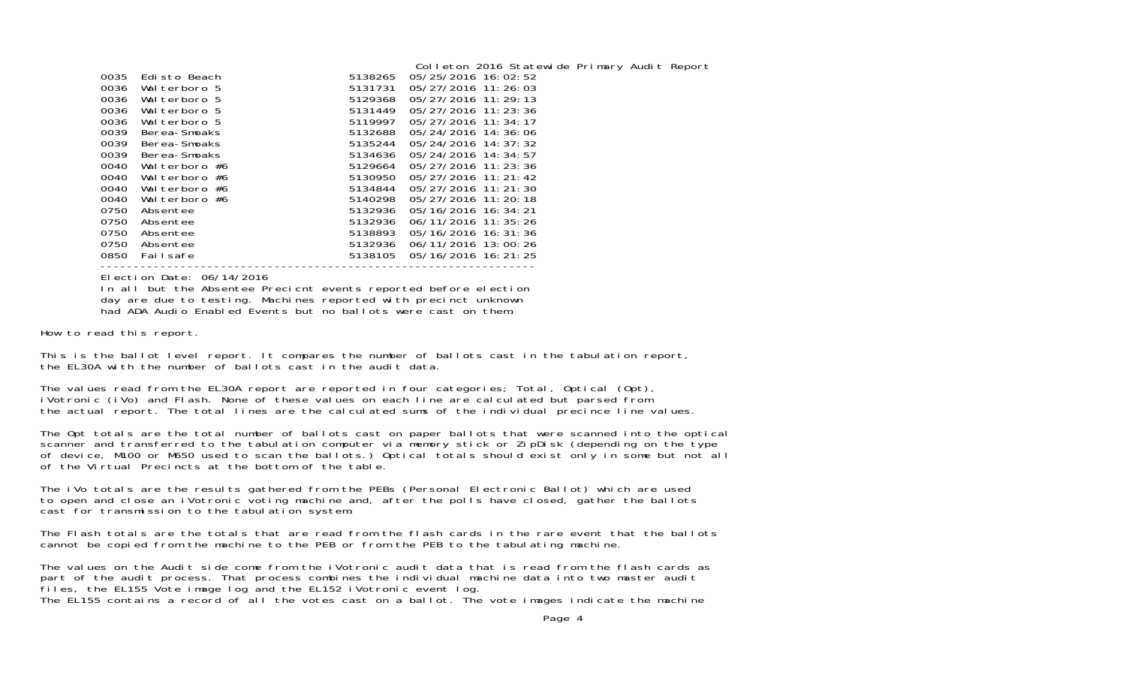|      |               |         | Colleton 2016 Statewide Primary Audit Report |  |
|------|---------------|---------|----------------------------------------------|--|
| 0035 | Edisto Beach  | 5138265 | 05/25/2016 16:02:52                          |  |
| 0036 | Walterboro 5  | 5131731 | 05/27/2016 11:26:03                          |  |
| 0036 | Walterboro 5  | 5129368 | 05/27/2016 11:29:13                          |  |
| 0036 | Walterboro 5  | 5131449 | 05/27/2016 11: 23: 36                        |  |
| 0036 | Walterboro 5  | 5119997 | 05/27/2016 11:34:17                          |  |
| 0039 | Berea-Smoaks  | 5132688 | 05/24/2016 14:36:06                          |  |
| 0039 | Berea-Smoaks  | 5135244 | 05/24/2016 14: 37: 32                        |  |
| 0039 | Berea-Smoaks  | 5134636 | 05/24/2016 14:34:57                          |  |
| 0040 | Walterboro #6 | 5129664 | 05/27/2016 11: 23: 36                        |  |
| 0040 | Walterboro #6 | 5130950 | 05/27/2016 11:21:42                          |  |
| 0040 | Walterboro #6 | 5134844 | 05/27/2016 11:21:30                          |  |
| 0040 | Walterboro #6 | 5140298 | 05/27/2016 11:20:18                          |  |
| 0750 | Absentee      | 5132936 | 05/16/2016 16: 34: 21                        |  |
| 0750 | Absentee      | 5132936 | 06/11/2016 11:35:26                          |  |
| 0750 | Absentee      | 5138893 | 05/16/2016 16: 31: 36                        |  |
| 0750 | Absentee      | 5132936 | 06/11/2016 13:00:26                          |  |
| 0850 | Failsafe      | 5138105 | 05/16/2016 16: 21: 25                        |  |
|      |               |         |                                              |  |

Election Date: 06/14/2016

 In all but the Absentee Precicnt events reported before election day are due to testing. Machines reported with precinct unknown had ADA Audio Enabled Events but no ballots were cast on them.

How to read this report.

This is the ballot level report. It compares the number of ballots cast in the tabulation report, the EL30A with the number of ballots cast in the audit data.

The values read from the EL30A report are reported in four categories; Total, Optical (Opt),<br>iVotronic (iVo) and Flash. None of these values on each line are calculated but parsed from the actual report. The total lines are the calculated sums of the individual precince line values.

The Opt totals are the total number of ballots cast on paper ballots that were scanned into the optical scanner and transferred to the tabulation computer via memory stick or ZipDisk (depending on the type of device, M100 or M650 used to scan the ballots.) Optical totals should exist only in some but not all of the Virtual Precincts at the bottom of the table.

The iVo totals are the results gathered from the PEBs (Personal Electronic Ballot) which are used to open and close an iVotronic voting machine and, after the polls have closed, gather the ballots cast for transmission to the tabulation system.

The Flash totals are the totals that are read from the flash cards in the rare event that the ballotscannot be copied from the machine to the PEB or from the PEB to the tabulating machine.

The values on the Audit side come from the iVotronic audit data that is read from the flash cards as part of the audit process. That process combines the individual machine data into two master audit files, the EL155 Vote image log and the EL152 iVotronic event log. The EL155 contains a record of all the votes cast on a ballot. The vote images indicate the machine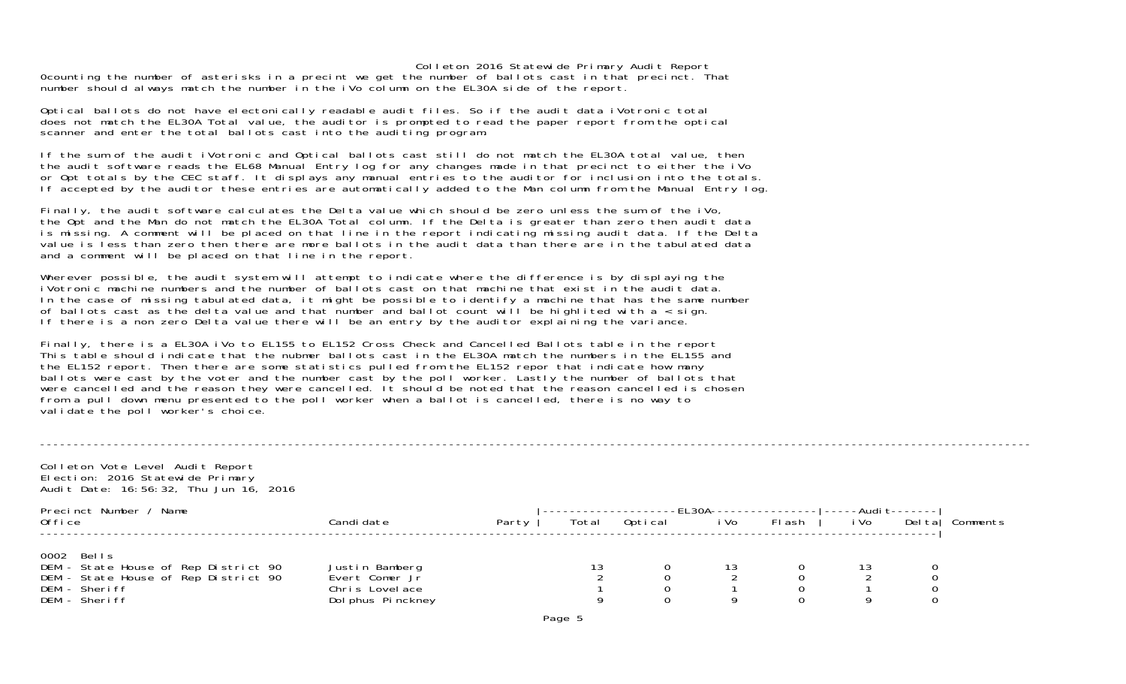0counting the number of asterisks in a precint we get the number of ballots cast in that precinct. That number should always match the number in the iVo column on the EL30A side of the report.

Optical ballots do not have electonically readable audit files. So if the audit data iVotronic total does not match the EL30A Total value, the auditor is prompted to read the paper report from the optical scanner and enter the total ballots cast into the auditing program.

If the sum of the audit iVotronic and Optical ballots cast still do not match the EL30A total value, then the audit software reads the EL68 Manual Entry log for any changes made in that precinct to either the iVo or Opt totals by the CEC staff. It displays any manual entries to the auditor for inclusion into the totals. If accepted by the auditor these entries are automatically added to the Man column from the Manual Entry log.

Finally, the audit software calculates the Delta value which should be zero unless the sum of the iVo, the Opt and the Man do not match the EL30A Total column. If the Delta is greater than zero then audit data is missing. A comment will be placed on that line in the report indicating missing audit data. If the Delta value is less than zero then there are more ballots in the audit data than there are in the tabulated data and a comment will be placed on that line in the report.

Wherever possible, the audit system will attempt to indicate where the difference is by displaying the iVotronic machine numbers and the number of ballots cast on that machine that exist in the audit data. In the case of missing tabulated data, it might be possible to identify a machine that has the same number of ballots cast as the delta value and that number and ballot count will be highlited with  $a <$  sign. If there is a non zero Delta value there will be an entry by the auditor explaining the variance.

Finally, there is a EL30A iVo to EL155 to EL152 Cross Check and Cancelled Ballots table in the report This table should indicate that the nubmer ballots cast in the EL30A match the numbers in the EL155 and the EL152 report. Then there are some statistics pulled from the EL152 repor that indicate how many ballots were cast by the voter and the number cast by the poll worker. Lastly the number of ballots that were cancelled and the reason they were cancelled. It should be noted that the reason cancelled is chosen from a pull down menu presented to the poll worker when a ballot is cancelled, there is no way to validate the poll worker's choice.

| Colleton Vote Level Audit Report<br>Election: 2016 Statewide Primary<br>Audit Date: 16:56:32, Thu Jun 16, 2016               |                                                                         |       |       |         |                   |        |      |                          |          |
|------------------------------------------------------------------------------------------------------------------------------|-------------------------------------------------------------------------|-------|-------|---------|-------------------|--------|------|--------------------------|----------|
| Precinct Number / Name<br>Office                                                                                             | Candi date                                                              | Party | Total | Optical | -EL30A---<br>i Vo | FI ash | i Vo | -Audi t-------<br>Del ta | Comments |
| 0002 Bells<br>DEM - State House of Rep District 90<br>DEM - State House of Rep District 90<br>DEM - Sheriff<br>DEM - Sheriff | Justin Bamberg<br>Evert Comer Jr<br>Chris Lovelace<br>Dol phus Pinckney |       | 13    |         | 13<br>9           |        | 13   |                          |          |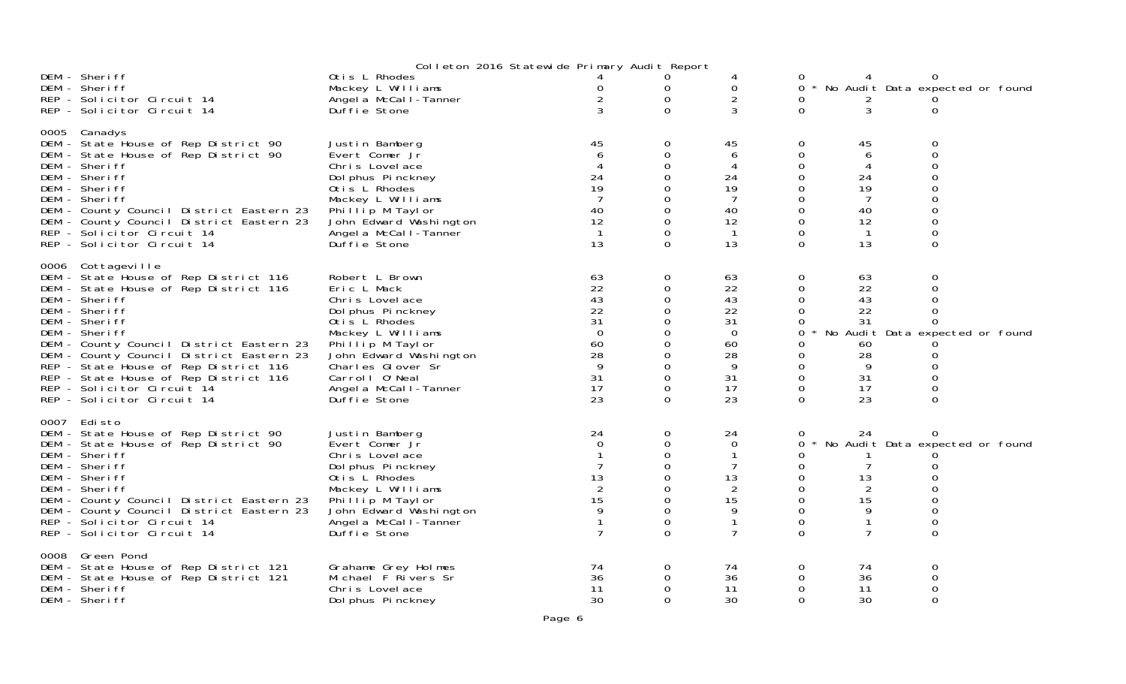|                                                                                                                                                                                                                                                                                                                                                                                                               |                                                                                                                                                                                                                                          | Colleton 2016 Statewide Primary Audit Report                                           |                                                                                                                             |                                                                                 |                                                                                                     |                                                                 |                                                              |  |
|---------------------------------------------------------------------------------------------------------------------------------------------------------------------------------------------------------------------------------------------------------------------------------------------------------------------------------------------------------------------------------------------------------------|------------------------------------------------------------------------------------------------------------------------------------------------------------------------------------------------------------------------------------------|----------------------------------------------------------------------------------------|-----------------------------------------------------------------------------------------------------------------------------|---------------------------------------------------------------------------------|-----------------------------------------------------------------------------------------------------|-----------------------------------------------------------------|--------------------------------------------------------------|--|
| DEM - Sheriff<br>DEM - Sheriff<br>REP - Solicitor Circuit 14                                                                                                                                                                                                                                                                                                                                                  | Otis L Rhodes<br>Mackey L Williams<br>Angel a McCall-Tanner                                                                                                                                                                              |                                                                                        | 0<br>0                                                                                                                      | 0<br>$\overline{2}$                                                             |                                                                                                     |                                                                 | 0 * No Audit Data expected or found                          |  |
| REP - Solicitor Circuit 14                                                                                                                                                                                                                                                                                                                                                                                    | Duffie Stone                                                                                                                                                                                                                             | 3                                                                                      | $\Omega$                                                                                                                    | 3                                                                               | $\Omega$                                                                                            | 3                                                               | 0                                                            |  |
| 0005 Canadys<br>DEM - State House of Rep District 90<br>DEM - State House of Rep District 90<br>DEM - Sheriff<br>DEM - Sheriff<br>DEM - Sheriff<br>DEM - Sheriff<br>DEM - County Council District Eastern 23<br>DEM - County Council District Eastern 23<br>REP - Solicitor Circuit 14<br>REP - Solicitor Circuit 14                                                                                          | Justin Bamberg<br>Evert Comer Jr<br>Chris Lovelace<br>Dol phus Pinckney<br>Otis L Rhodes<br>Mackey L Williams<br>Phillip M Taylor<br>John Edward Washington<br>Angel a McCal I-Tanner<br>Duffie Stone                                    | 45<br>$\overline{4}$<br>24<br>19<br>$\overline{7}$<br>40<br>12<br>$\overline{1}$<br>13 | $\Omega$<br>0<br>$\mathbf 0$<br>$\Omega$<br>$\Omega$<br>$\Omega$<br>$\Omega$<br>$\Omega$                                    | 45<br>6<br>4<br>24<br>19<br>7<br>40<br>12<br>$\mathbf 1$<br>13                  | 0<br>0<br>0<br>0<br>$\Omega$<br>0<br>$\Omega$<br>$\Omega$<br>$\Omega$<br>$\Omega$                   | 45<br>6<br>4<br>24<br>19<br>7<br>40<br>12<br>$\mathbf{1}$<br>13 | O<br>0<br>$\Omega$                                           |  |
| 0006 Cottageville<br>DEM - State House of Rep District 116<br>DEM - State House of Rep District 116<br>DEM - Sheriff<br>DEM - Sheriff<br>DEM - Sheriff<br>DEM - Sheriff<br>DEM - County Council District Eastern 23<br>DEM - County Council District Eastern 23<br>REP - State House of Rep District 116<br>REP - State House of Rep District 116<br>REP - Solicitor Circuit 14<br>REP - Solicitor Circuit 14 | Robert L Brown<br>Eric L Mack<br>Chris Lovelace<br>Dol phus Pinckney<br>Otis L Rhodes<br>Mackey L Williams<br>Phillip M Taylor<br>John Edward Washington<br>Charles Glover Sr<br>Carroll O'Neal<br>Angel a McCall-Tanner<br>Duffie Stone | 63<br>22<br>43<br>22<br>31<br>$\overline{0}$<br>60<br>28<br>9<br>31<br>17<br>23        | $\mathbf 0$<br>$\mathbf 0$<br>$\Omega$<br>0<br>$\Omega$<br>0<br>$\Omega$<br>$\Omega$<br>$\mathbf 0$<br>$\Omega$<br>$\Omega$ | 63<br>22<br>43<br>22<br>31<br>$\overline{0}$<br>60<br>28<br>9<br>31<br>17<br>23 | $\mathbf{O}$<br>0<br>$\Omega$<br>0<br>0<br>0<br>0<br>0<br>0<br>$\mathbf{O}$<br>$\Omega$<br>$\Omega$ | 63<br>22<br>43<br>22<br>31<br>60<br>28<br>9<br>31<br>17<br>23   | 0<br>0<br>No Audit Data expected or found<br>$\Omega$        |  |
| 0007 Edisto<br>DEM - State House of Rep District 90<br>DEM - State House of Rep District 90<br>DEM - Sheriff<br>DEM - Sheriff<br>DEM - Sheriff<br>DEM - Sheriff<br>DEM - County Council District Eastern 23<br>DEM - County Council District Eastern 23<br>REP - Solicitor Circuit 14<br>REP - Solicitor Circuit 14                                                                                           | Justin Bamberg<br>Evert Comer Jr<br>Chris Lovelace<br>Dol phus Pinckney<br>Otis L Rhodes<br>Mackey L Williams<br>Phillip M Taylor<br>John Edward Washington<br>Angel a McCal I-Tanner<br>Duffie Stone                                    | 24<br>$\Omega$<br>13<br>2<br>15<br>9                                                   | $\mathbf 0$<br>$\mathbf 0$<br>$\mathbf 0$<br>$\Omega$<br>$\mathbf 0$<br>$\Omega$<br>$\Omega$<br>0<br>$\Omega$               | 24<br>$\Omega$<br>7<br>13<br>2<br>15<br>9<br>$\mathbf{1}$<br>$\overline{7}$     | 0<br>0<br>0<br>0<br>0<br>$\Omega$<br>$\Omega$<br>$\Omega$<br>0<br>$\Omega$                          | 24<br>13<br>$\overline{2}$<br>15<br>9<br>$\mathbf{1}$<br>7      | 0<br>No Audit Data expected or found<br>$\Omega$<br>$\Omega$ |  |
| 0008 Green Pond<br>DEM - State House of Rep District 121<br>DEM - State House of Rep District 121<br>DEM - Sheriff<br>DEM - Sheriff                                                                                                                                                                                                                                                                           | Grahame Grey Holmes<br>Michael F Rivers Sr<br>Chris Lovelace<br>Dol phus Pinckney                                                                                                                                                        | 74<br>36<br>11<br>30                                                                   | $\mathbf 0$<br>0<br>$\mathbf 0$<br>$\Omega$                                                                                 | 74<br>36<br>11<br>30                                                            | 0<br>0<br>0<br>$\Omega$                                                                             | 74<br>36<br>11<br>30                                            | 0<br>0<br>0<br>$\Omega$                                      |  |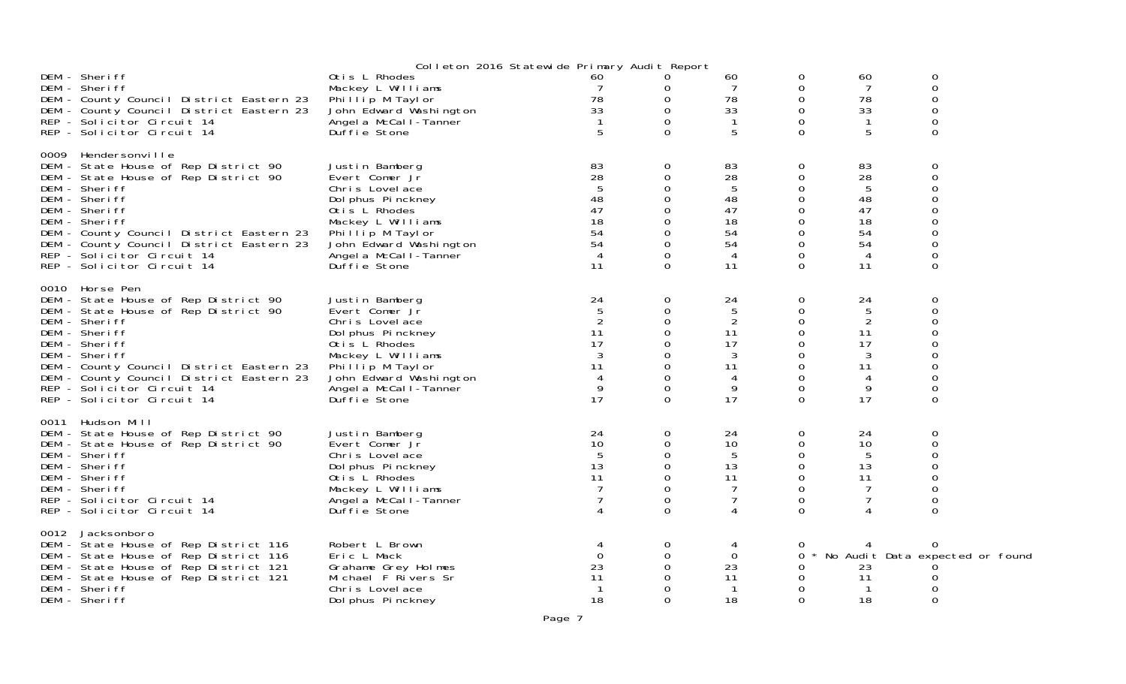|                                                                                                                                                                                                                                                                                                                             | Colleton 2016 Statewide Primary Audit Report                                                                                                                                                          |                                                                |                                                                                   |                                                         |                                                                            |                                                                     |                                                                            |  |
|-----------------------------------------------------------------------------------------------------------------------------------------------------------------------------------------------------------------------------------------------------------------------------------------------------------------------------|-------------------------------------------------------------------------------------------------------------------------------------------------------------------------------------------------------|----------------------------------------------------------------|-----------------------------------------------------------------------------------|---------------------------------------------------------|----------------------------------------------------------------------------|---------------------------------------------------------------------|----------------------------------------------------------------------------|--|
| DEM - Sheriff<br>DEM - Sheriff<br>DEM - County Council District Eastern 23<br>DEM - County Council District Eastern 23<br>REP - Solicitor Circuit 14<br>REP - Solicitor Circuit 14                                                                                                                                          | Otis L Rhodes<br>Mackey L Williams<br>Phillip M Taylor<br>John Edward Washington<br>Angel a McCall-Tanner<br>Duffie Stone                                                                             | 60<br>78<br>33<br>5                                            | 0<br>0<br>0<br>$\Omega$                                                           | 60<br>7<br>78<br>33<br>1<br>5                           | 0<br>0<br>0<br>0<br>$\Omega$<br>$\Omega$                                   | 60<br>7<br>78<br>33<br>-1<br>5                                      | 0<br>0<br>$\Omega$<br>0<br>0<br>$\Omega$                                   |  |
| 0009 Hendersonville<br>DEM - State House of Rep District 90<br>DEM - State House of Rep District 90<br>DEM - Sheriff<br>DEM - Sheriff<br>DEM - Sheriff<br>DEM - Sheriff<br>DEM - County Council District Eastern 23<br>DEM - County Council District Eastern 23<br>REP - Solicitor Circuit 14<br>REP - Solicitor Circuit 14 | Justin Bamberg<br>Evert Comer Jr<br>Chris Lovelace<br>Dol phus Pinckney<br>Otis L Rhodes<br>Mackey L Williams<br>Phillip M Taylor<br>John Edward Washington<br>Angel a McCal I-Tanner<br>Duffie Stone | 83<br>28<br>48<br>47<br>18<br>54<br>54<br>$\overline{4}$<br>11 | 0<br>0<br>0<br>$\Omega$<br>$\Omega$<br>0<br>$\Omega$<br>$\Omega$<br>0<br>$\Omega$ | 83<br>28<br>5<br>48<br>47<br>18<br>54<br>54<br>-4<br>11 | 0<br>0<br>0<br>0<br>0<br>0<br>0<br>0<br>0<br>$\Omega$                      | 83<br>28<br>5<br>48<br>47<br>18<br>54<br>54<br>$\overline{4}$<br>11 | 0<br>0<br>O<br>0<br>0<br>$\Omega$<br>0<br>$\Omega$                         |  |
| 0010 Horse Pen<br>DEM - State House of Rep District 90<br>DEM - State House of Rep District 90<br>DEM - Sheriff<br>DEM - Sheriff<br>DEM - Sheriff<br>DEM - Sheriff<br>DEM - County Council District Eastern 23<br>DEM - County Council District Eastern 23<br>REP - Solicitor Circuit 14<br>REP - Solicitor Circuit 14      | Justin Bamberg<br>Evert Comer Jr<br>Chris Lovelace<br>Dol phus Pinckney<br>Otis L Rhodes<br>Mackey L Williams<br>Phillip M Taylor<br>John Edward Washington<br>Angel a McCal I-Tanner<br>Duffie Stone | 24<br>2<br>11<br>17<br>3<br>11<br>4<br>9<br>17                 | 0<br>0<br>0<br>0<br>0<br>0<br>0<br>$\Omega$<br>$\Omega$<br>$\Omega$               | 24<br>5<br>2<br>11<br>17<br>3<br>11<br>4<br>9<br>17     | 0<br>$\Omega$<br>0<br>$\Omega$<br>0<br>0<br>0<br>$\Omega$<br>0<br>$\Omega$ | 24<br>5<br>$\overline{2}$<br>11<br>17<br>3<br>11<br>4<br>9<br>17    | 0<br>$\Omega$<br>0<br>$\Omega$<br>0<br>O<br>0<br>$\Omega$<br>0<br>$\Omega$ |  |
| 0011 Hudson Mill<br>DEM - State House of Rep District 90<br>DEM - State House of Rep District 90<br>DEM - Sheriff<br>DEM - Sheriff<br>DEM - Sheriff<br>DEM - Sheriff<br>REP - Solicitor Circuit 14<br>REP - Solicitor Circuit 14                                                                                            | Justin Bamberg<br>Evert Comer Jr<br>Chris Lovelace<br>Dol phus Pinckney<br>Otis L Rhodes<br>Mackey L Williams<br>Angel a McCall-Tanner<br>Duffie Stone                                                | 24<br>10<br>-5<br>13<br>11                                     | 0<br>0<br>0<br>$\Omega$<br>$\Omega$<br>0<br>$\Omega$<br>$\Omega$                  | 24<br>10<br>5<br>13<br>11<br>7<br>7<br>4                | 0<br>0<br>0<br>0<br>$\Omega$<br>$\Omega$<br>$\Omega$<br>$\Omega$           | 24<br>10<br>5<br>13<br>11<br>7<br>7<br>4                            | 0<br>0<br>0<br>0<br>$\Omega$<br>$\Omega$<br>$\Omega$<br>0                  |  |
| 0012 Jacksonboro<br>DEM - State House of Rep District 116<br>DEM - State House of Rep District 116<br>DEM - State House of Rep District 121<br>DEM - State House of Rep District 121<br>DEM - Sheriff<br>DEM - Sheriff                                                                                                      | Robert L Brown<br>Eric L Mack<br>Grahame Grey Holmes<br>Michael F Rivers Sr<br>Chris Lovelace<br>Dol phus Pi nckney                                                                                   | 4<br>$\Omega$<br>23<br>11<br>18                                | 0<br>0<br>$\Omega$<br>0<br>$\Omega$                                               | 4<br>$\Omega$<br>23<br>11<br>18                         | 0<br>0<br>0<br>0<br>0<br>$\Omega$                                          | 23<br>11<br>18                                                      | 0<br>No Audit Data expected or found<br>$\Omega$                           |  |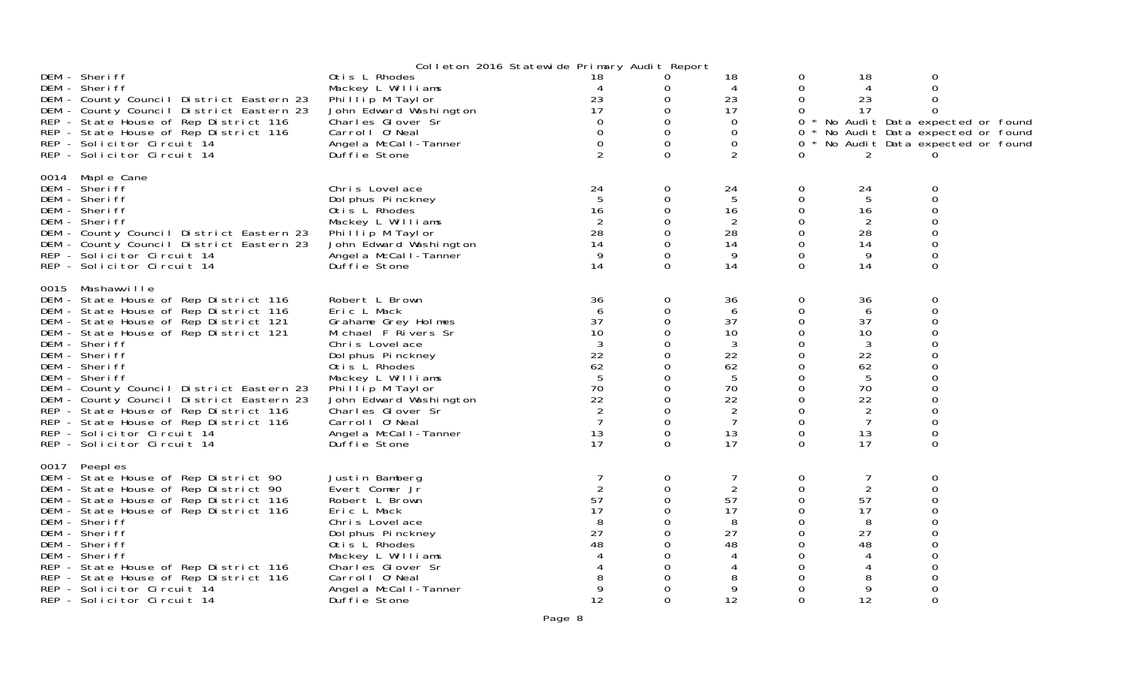|                                                                                      |                                                 | Colleton 2016 Statewide Primary Audit Report |             |                |          |          |                                     |  |
|--------------------------------------------------------------------------------------|-------------------------------------------------|----------------------------------------------|-------------|----------------|----------|----------|-------------------------------------|--|
| DEM - Sheriff<br>DEM - Sheriff                                                       | Otis L Rhodes                                   |                                              | 0           | 18             | 0<br>0   | 18       | 0<br>0                              |  |
| DEM - County Council District Eastern 23                                             | Mackey L Williams<br>Phillip M Taylor           | 23                                           | 0<br>0      | 4<br>23        | 0        | 4<br>23  | 0                                   |  |
| DEM - County Council District Eastern 23                                             | John Edward Washington                          | 17                                           | 0           | 17             | 0        | 17       | 0                                   |  |
| REP - State House of Rep District 116                                                | Charles Glover Sr                               |                                              |             | $\Omega$       |          |          | 0 * No Audit Data expected or found |  |
| REP - State House of Rep District 116                                                | Carroll O'Neal                                  |                                              | 0           | $\Omega$       | 0        |          | * No Audit Data expected or found   |  |
| REP - Solicitor Circuit 14<br>REP - Solicitor Circuit 14                             | Angel a McCall-Tanner<br>Duffie Stone           |                                              | $\Omega$    | $\Omega$<br>2  | 0.<br>0  | 2        | * No Audit Data expected or found   |  |
|                                                                                      |                                                 |                                              |             |                |          |          |                                     |  |
| 0014 Maple Cane<br>DEM - Sheriff                                                     | Chris Lovelace                                  | 24                                           | 0           | 24             | 0        | 24       | 0                                   |  |
| DEM - Sheriff                                                                        | Dol phus Pinckney                               | 5                                            | $\Omega$    | 5              | 0        | 5        | $\Omega$                            |  |
| DEM - Sheriff                                                                        | Otis L Rhodes                                   | 16                                           |             | 16             | 0        | 16       |                                     |  |
| DEM - Sheriff                                                                        | Mackey L Williams                               | 2                                            | 0           | 2              | 0        | 2        |                                     |  |
| DEM - County Council District Eastern 23                                             | Phillip M Taylor                                | 28                                           |             | 28             | 0        | 28       |                                     |  |
| DEM - County Council District Eastern 23<br>REP - Solicitor Circuit 14               | John Edward Washington<br>Angel a McCall-Tanner | 14<br>9                                      | $\Omega$    | 14<br>9        | 0<br>0   | 14<br>9  |                                     |  |
| REP - Solicitor Circuit 14                                                           | Duffie Stone                                    | 14                                           | $\Omega$    | 14             | $\Omega$ | 14       | $\Omega$                            |  |
| 0015 Mashawville                                                                     |                                                 |                                              |             |                |          |          |                                     |  |
| DEM - State House of Rep District 116                                                | Robert L Brown                                  | 36                                           | $\mathbf 0$ | 36             | 0        | 36       | 0                                   |  |
| DEM - State House of Rep District 116                                                | Eric L Mack                                     | 6                                            | 0           | 6              | 0        | 6        | O                                   |  |
| DEM - State House of Rep District 121<br>DEM - State House of Rep District 121       | Grahame Grey Holmes<br>Michael F Rivers Sr      | 37<br>10                                     | 0<br>0      | 37<br>10       | 0<br>0   | 37<br>10 |                                     |  |
| DEM - Sheriff                                                                        | Chris Lovelace                                  | 3                                            | 0           | 3              | 0        | 3        |                                     |  |
| DEM - Sheriff                                                                        | Dol phus Pinckney                               | 22                                           |             | 22             | 0        | 22       |                                     |  |
| DEM - Sheriff                                                                        | Otis L Rhodes                                   | 62                                           |             | 62             | 0        | 62       |                                     |  |
| DEM - Sheriff                                                                        | Mackey L Williams<br>Phillip M Taylor           | 5<br>70                                      | 0           | 5<br>70        | 0<br>0   | 5<br>70  |                                     |  |
| DEM - County Council District Eastern 23<br>DEM - County Council District Eastern 23 | John Edward Washington                          | 22                                           |             | 22             | 0        | 22       |                                     |  |
| REP - State House of Rep District 116                                                | Charles Glover Sr                               | 2                                            | 0           | 2              | 0        | 2        |                                     |  |
| REP - State House of Rep District 116                                                | Carroll O'Neal                                  |                                              | 0           | 7              | 0        | 7        |                                     |  |
| REP - Solicitor Circuit 14                                                           | Angel a McCall-Tanner                           | 13                                           | 0           | 13             | 0        | 13       | $\Omega$                            |  |
| REP - Solicitor Circuit 14                                                           | Duffie Stone                                    | 17                                           | $\Omega$    | 17             | $\Omega$ | 17       | O                                   |  |
| 0017 Peeples                                                                         |                                                 |                                              |             |                |          |          | 0                                   |  |
| DEM - State House of Rep District 90<br>DEM - State House of Rep District 90         | Justin Bamberg<br>Evert Comer Jr                | $\overline{2}$                               | 0<br>0      | $\overline{2}$ | 0<br>0   | 2        | 0                                   |  |
| DEM - State House of Rep District 116                                                | Robert L Brown                                  | 57                                           | 0           | 57             | 0        | 57       |                                     |  |
| DEM - State House of Rep District 116                                                | Eric L Mack                                     | 17                                           | 0           | 17             | 0        | 17       |                                     |  |
| DEM - Sheriff                                                                        | Chris Lovelace                                  | 8                                            |             | 8              | 0        | 8        |                                     |  |
| DEM - Sheriff<br>DEM - Sheriff                                                       | Dol phus Pinckney<br>Otis L Rhodes              | 27<br>48                                     | 0           | 27<br>48       | 0<br>0   | 27<br>48 |                                     |  |
| DEM - Sheriff                                                                        | Mackey L Williams                               |                                              |             |                | 0        |          |                                     |  |
| REP - State House of Rep District 116                                                | Charles Glover Sr                               |                                              |             |                | 0        |          |                                     |  |
| REP - State House of Rep District 116                                                | Carroll O'Neal                                  |                                              |             | 8              | 0        | 8        |                                     |  |
| REP - Solicitor Circuit 14                                                           | Angel a McCall-Tanner                           | 9<br>12                                      |             | 9<br>12        | 0<br>0   | 9<br>12  | ∩                                   |  |
| REP - Solicitor Circuit 14                                                           | Duffie Stone                                    |                                              |             |                |          |          |                                     |  |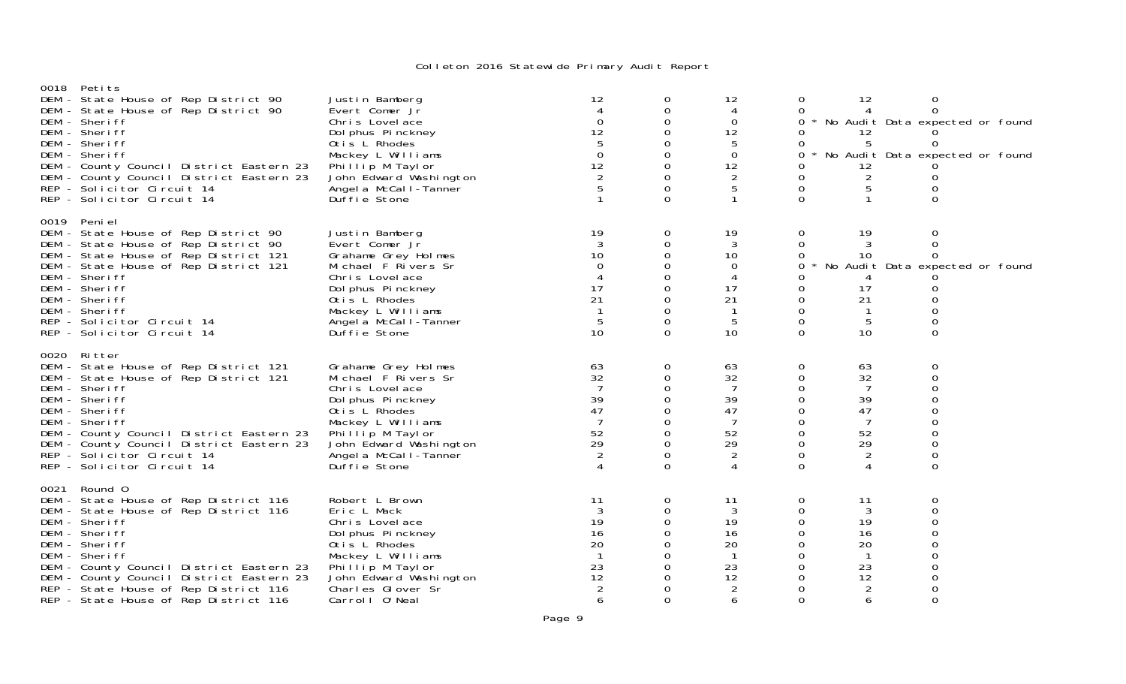| 0018 Petits<br>DEM - State House of Rep District 90<br>DEM - State House of Rep District 90<br>DEM - Sheriff<br>DEM - Sheriff<br>DEM - Sheriff<br>DEM - Sheriff<br>DEM - County Council District Eastern 23<br>DEM - County Council District Eastern 23<br>REP - Solicitor Circuit 14<br>REP - Solicitor Circuit 14                          | Justin Bamberg<br>Evert Comer Jr<br>Chris Lovelace<br>Dol phus Pinckney<br>Otis L Rhodes<br>Mackey L Williams<br>Phillip M Taylor<br>John Edward Washington<br>Angel a McCal I-Tanner<br>Duffie Stone             | 12<br>$\Omega$<br>12<br>$\Omega$<br>12                       | 0<br>0<br>0<br>0<br>0<br>0<br>0<br>0          | 12<br>4<br>0<br>12<br>5<br>0<br>12<br>2<br>5                                   | 0<br>0<br>0<br>O<br>0<br>0<br>O.<br>0<br>0<br>$\Omega$              | 12<br>4<br>12<br>5<br>12<br>2<br>5<br>$\mathbf{1}$                 | 0<br>$\Omega$<br>No Audit Data expected or found<br>$\Omega$<br>No Audit Data expected or found<br>0<br>0<br>$\Omega$ |  |
|----------------------------------------------------------------------------------------------------------------------------------------------------------------------------------------------------------------------------------------------------------------------------------------------------------------------------------------------|-------------------------------------------------------------------------------------------------------------------------------------------------------------------------------------------------------------------|--------------------------------------------------------------|-----------------------------------------------|--------------------------------------------------------------------------------|---------------------------------------------------------------------|--------------------------------------------------------------------|-----------------------------------------------------------------------------------------------------------------------|--|
| 0019 Peni el<br>DEM - State House of Rep District 90<br>DEM - State House of Rep District 90<br>DEM - State House of Rep District 121<br>DEM - State House of Rep District 121<br>DEM - Sheriff<br>DEM - Sheriff<br>DEM - Sheriff<br>DEM - Sheriff<br>REP - Solicitor Circuit 14<br>REP - Solicitor Circuit 14                               | Justin Bamberg<br>Evert Comer Jr<br>Grahame Grey Holmes<br>Michael F Rivers Sr<br>Chris Lovelace<br>Dol phus Pinckney<br>Otis L Rhodes<br>Mackey L Williams<br>Angel a McCall-Tanner<br>Duffie Stone              | 19<br>10<br>$\Omega$<br>17<br>21<br>5<br>10                  | 0<br>0<br>0<br>0<br>0<br>0                    | 19<br>3<br>10<br>0<br>4<br>17<br>21<br>$\mathbf{1}$<br>5<br>10                 | $\Omega$<br>$\Omega$<br>0<br>0<br>0<br>0<br>0<br>0<br>0<br>0        | 19<br>10<br>4<br>17<br>21<br>-1<br>5<br>10                         | 0<br>$\Omega$<br>$\Omega$<br>No Audit Data expected or found<br>0<br>O<br>0<br>0                                      |  |
| 0020 Ritter<br>DEM - State House of Rep District 121<br>DEM - State House of Rep District 121<br>DEM - Sheriff<br>DEM - Sheriff<br>DEM - Sheriff<br>DEM - Sheriff<br>DEM - County Council District Eastern 23<br>DEM - County Council District Eastern 23<br>REP - Solicitor Circuit 14<br>REP - Solicitor Circuit 14                        | Grahame Grey Holmes<br>Michael F Rivers Sr<br>Chris Lovelace<br>Dol phus Pinckney<br>Otis L Rhodes<br>Mackey L Williams<br>Phillip M Taylor<br>John Edward Washington<br>Angel a McCal I - Tanner<br>Duffie Stone | 63<br>32<br>39<br>47<br>52<br>29                             | $\Omega$<br>0<br>0<br>0<br>0<br>$\Omega$<br>0 | 63<br>32<br>7<br>39<br>47<br>7<br>52<br>29<br>2<br>4                           | 0<br>0<br>0<br>0<br>0<br>0<br>0<br>$\Omega$<br>$\Omega$<br>$\Omega$ | 63<br>32<br>7<br>39<br>47<br>7<br>52<br>29<br>2<br>4               | 0<br>$\Omega$<br>0<br>O<br>0<br>0<br>0<br>0<br>0<br>0                                                                 |  |
| 0021 Round 0<br>DEM - State House of Rep District 116<br>DEM - State House of Rep District 116<br>DEM - Sheriff<br>DEM - Sheriff<br>DEM - Sheriff<br>DEM - Sheriff<br>DEM - County Council District Eastern 23<br>DEM - County Council District Eastern 23<br>REP - State House of Rep District 116<br>REP - State House of Rep District 116 | Robert L Brown<br>Eric L Mack<br>Chris Lovelace<br>Dol phus Pinckney<br>Otis L Rhodes<br>Mackey L Williams<br>Phillip M Taylor<br>John Edward Washington<br>Charles Glover Sr<br>Carroll O'Neal                   | 11<br>3<br>19<br>16<br>20<br>$\overline{1}$<br>23<br>12<br>6 | 0<br>0<br>0<br>0<br>0<br>0                    | 11<br>3<br>19<br>16<br>20<br>$\overline{1}$<br>23<br>12<br>$\overline{2}$<br>6 | $\Omega$<br>$\Omega$<br>0<br>0<br>0<br>0<br>0<br>0<br>0<br>$\Omega$ | 11<br>3<br>19<br>16<br>20<br>-1<br>23<br>12<br>$\overline{2}$<br>6 | 0<br>$\Omega$<br>0<br>∩<br>0<br>O<br>0<br>Ω<br>0                                                                      |  |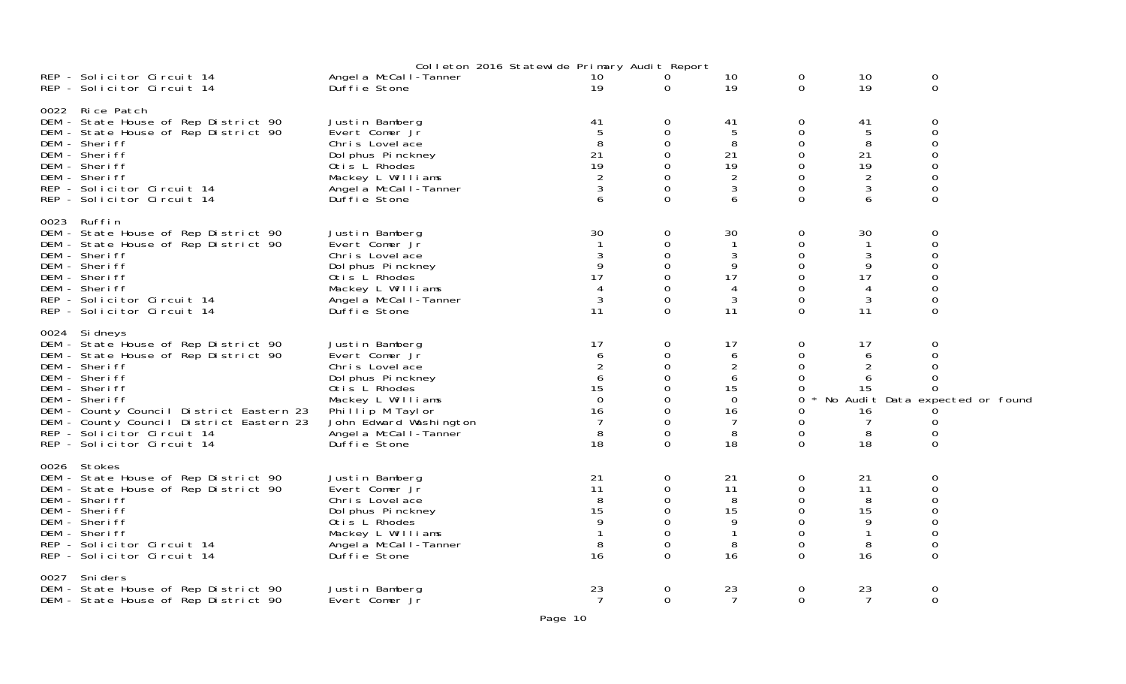|                                                                                                                                                                                                                                                                                                                      |                                                                                                                                                                                                       | Colleton 2016 Statewide Primary Audit Report                           |                                                                           |                                                                        |                                                                                       |                                                            |                                                                           |  |
|----------------------------------------------------------------------------------------------------------------------------------------------------------------------------------------------------------------------------------------------------------------------------------------------------------------------|-------------------------------------------------------------------------------------------------------------------------------------------------------------------------------------------------------|------------------------------------------------------------------------|---------------------------------------------------------------------------|------------------------------------------------------------------------|---------------------------------------------------------------------------------------|------------------------------------------------------------|---------------------------------------------------------------------------|--|
| REP - Solicitor Circuit 14<br>REP - Solicitor Circuit 14                                                                                                                                                                                                                                                             | Angel a McCal I-Tanner<br>Duffie Stone                                                                                                                                                                | 10<br>19                                                               | 0<br>$\Omega$                                                             | 10<br>19                                                               | 0<br>$\Omega$                                                                         | 10<br>19                                                   | 0<br>$\Omega$                                                             |  |
| 0022 Rice Patch<br>DEM - State House of Rep District 90<br>DEM - State House of Rep District 90<br>DEM - Sheriff<br>DEM - Sheriff<br>DEM - Sheriff<br>DEM - Sheriff<br>REP - Solicitor Circuit 14<br>REP - Solicitor Circuit 14                                                                                      | Justin Bamberg<br>Evert Comer Jr<br>Chris Lovelace<br>Dol phus Pinckney<br>Otis L Rhodes<br>Mackey L Williams<br>Angel a McCall-Tanner<br>Duffie Stone                                                | 41<br>5<br>8<br>21<br>19<br>$\overline{2}$<br>6                        | 0<br>$\Omega$<br>$\Omega$<br>$\Omega$<br>$\Omega$<br>$\Omega$<br>$\Omega$ | 41<br>$5\phantom{.0}$<br>8<br>21<br>19<br>$\overline{2}$<br>3<br>6     | 0<br>$\Omega$<br>$\Omega$<br>$\Omega$<br>$\Omega$<br>$\Omega$<br>$\Omega$<br>$\Omega$ | 41<br>5<br>8<br>21<br>19<br>$\overline{2}$<br>3<br>6       | 0<br>0<br>0<br>$\Omega$                                                   |  |
| 0023 Ruffin<br>DEM - State House of Rep District 90<br>DEM - State House of Rep District 90<br>DEM - Sheriff<br>DEM - Sheriff<br>DEM - Sheriff<br>DEM - Sheriff<br>REP - Solicitor Circuit 14<br>REP - Solicitor Circuit 14                                                                                          | Justin Bamberg<br>Evert Comer Jr<br>Chris Lovelace<br>Dol phus Pinckney<br>Otis L Rhodes<br>Mackey L Williams<br>Angel a McCall-Tanner<br>Duffie Stone                                                | 30<br>9<br>17<br>3<br>11                                               | 0<br>0<br>0<br>0<br>$\Omega$                                              | 30<br>$\mathbf{1}$<br>3<br>9<br>17<br>4<br>3<br>11                     | $\Omega$<br>0<br>0<br>$\Omega$<br>$\Omega$<br>$\Omega$<br>$\Omega$<br>$\Omega$        | 30<br>$\mathbf{1}$<br>3<br>9<br>17<br>4<br>3<br>11         | 0<br>0<br>0<br>0<br>$\Omega$                                              |  |
| 0024 Sidneys<br>DEM - State House of Rep District 90<br>DEM - State House of Rep District 90<br>DEM - Sheriff<br>DEM - Sheriff<br>DEM - Sheriff<br>DEM - Sheriff<br>DEM - County Council District Eastern 23<br>DEM - County Council District Eastern 23<br>REP - Solicitor Circuit 14<br>REP - Solicitor Circuit 14 | Justin Bamberg<br>Evert Comer Jr<br>Chris Lovelace<br>Dol phus Pinckney<br>Otis L Rhodes<br>Mackey L Williams<br>Phillip M Taylor<br>John Edward Washington<br>Angel a McCal I-Tanner<br>Duffie Stone | 17<br>6<br>$\overline{2}$<br>6<br>15<br>$\Omega$<br>16<br>7<br>8<br>18 | 0<br>0<br>0<br>0<br>0<br>$\Omega$<br>$\Omega$                             | 17<br>6<br>$\overline{c}$<br>6<br>15<br>$\Omega$<br>16<br>7<br>8<br>18 | 0<br>$\Omega$<br>0<br>$\Omega$<br>0<br>$\Omega$<br>0<br>$\Omega$<br>0<br>$\Omega$     | 17<br>6<br>$\overline{2}$<br>6<br>15<br>16<br>7<br>8<br>18 | 0<br>0<br>0<br>ი<br>No Audit Data expected or found<br>O<br>0<br>$\Omega$ |  |
| 0026 Stokes<br>DEM - State House of Rep District 90<br>DEM - State House of Rep District 90<br>DEM - Sheriff<br>DEM - Sheriff<br>DEM - Sheriff<br>DEM - Sheriff<br>REP - Solicitor Circuit 14<br>REP - Solicitor Circuit 14                                                                                          | Justin Bamberg<br>Evert Comer Jr<br>Chris Lovel ace<br>Dol phus Pinckney<br>Otis L Rhodes<br>Mackey L Williams<br>Angel a McCal I-Tanner<br>Duffie Stone                                              | 21<br>11<br>8<br>15<br>8<br>16                                         | $\mathbf{O}$<br>$\Omega$<br>0<br>$\Omega$<br>$\Omega$<br>$\Omega$         | 21<br>11<br>8<br>15<br>9<br>$\mathbf{1}$<br>8<br>16                    | $\Omega$<br>0<br>$\Omega$<br>$\Omega$<br>$\Omega$<br>$\Omega$<br>0<br>$\Omega$        | 21<br>11<br>8<br>15<br>9<br>$\mathbf{1}$<br>8<br>16        | 0<br>0<br>$\mathbf 0$                                                     |  |
| 0027 Sniders<br>DEM - State House of Rep District 90<br>DEM - State House of Rep District 90                                                                                                                                                                                                                         | Justin Bamberg<br>Evert Comer Jr                                                                                                                                                                      | 23<br>7                                                                | 0<br>$\overline{O}$                                                       | 23<br>7                                                                | 0<br>$\overline{0}$                                                                   | 23<br>7                                                    | 0<br>$\overline{0}$                                                       |  |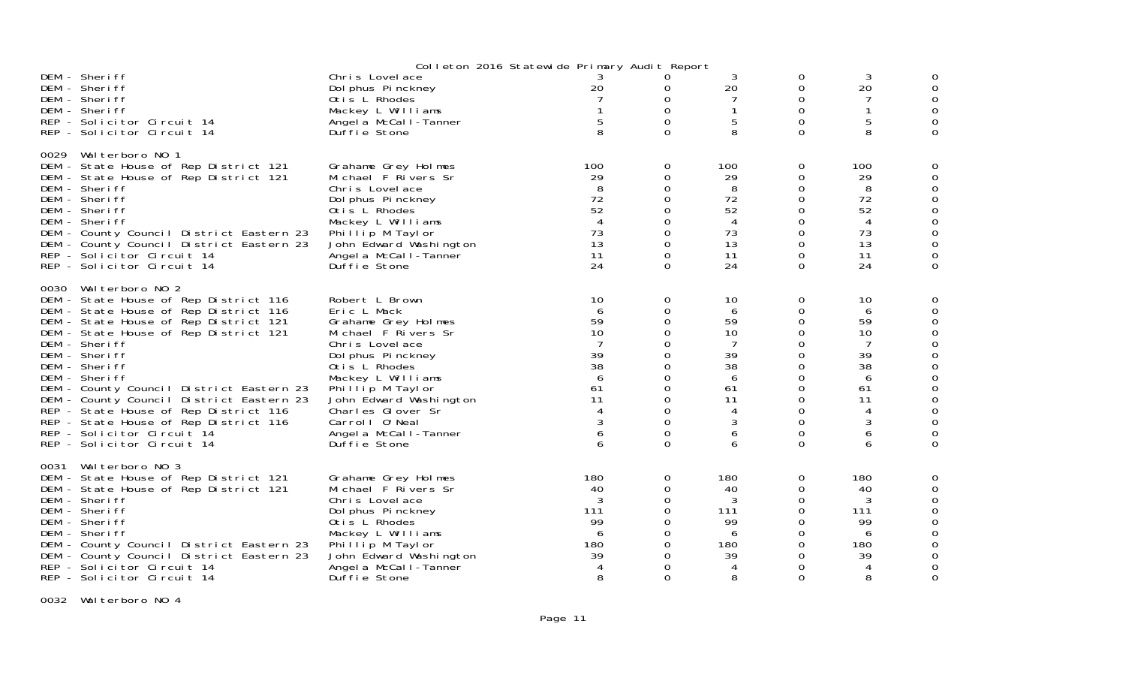|                                                                                                                                                                                                                                                                                                                                                                                                                                                                                                    |                                                                                                                                                                                                                                                                                          | Colleton 2016 Statewide Primary Audit Report                                         |                                                                                                |                                                                           |                                                                                         |                                                                                    |               |
|----------------------------------------------------------------------------------------------------------------------------------------------------------------------------------------------------------------------------------------------------------------------------------------------------------------------------------------------------------------------------------------------------------------------------------------------------------------------------------------------------|------------------------------------------------------------------------------------------------------------------------------------------------------------------------------------------------------------------------------------------------------------------------------------------|--------------------------------------------------------------------------------------|------------------------------------------------------------------------------------------------|---------------------------------------------------------------------------|-----------------------------------------------------------------------------------------|------------------------------------------------------------------------------------|---------------|
| DEM - Sheriff<br>DEM - Sheriff<br>DEM - Sheriff<br>DEM - Sheriff<br>REP - Solicitor Circuit 14<br>REP - Solicitor Circuit 14                                                                                                                                                                                                                                                                                                                                                                       | Chris Lovelace<br>Dol phus Pinckney<br>Otis L Rhodes<br>Mackey L Williams<br>Angel a McCall-Tanner<br>Duffie Stone                                                                                                                                                                       | 20<br>$\mathbf{1}$<br>5<br>8                                                         | 0<br>0<br>$\mathbf 0$<br>$\Omega$<br>$\Omega$                                                  | 3<br>20<br>5<br>8                                                         | 0<br>0<br>0<br>$\mathsf{O}$<br>0<br>$\Omega$                                            | 3<br>20<br>7<br>1<br>$\overline{5}$<br>8                                           | 0<br>$\Omega$ |
| 0029 Walterboro NO 1<br>DEM - State House of Rep District 121<br>DEM - State House of Rep District 121<br>DEM - Sheriff<br>DEM - Sheriff<br>DEM - Sheriff<br>DEM - Sheriff<br>DEM - County Council District Eastern 23<br>DEM - County Council District Eastern 23<br>REP - Solicitor Circuit 14<br>REP - Solicitor Circuit 14                                                                                                                                                                     | Grahame Grey Holmes<br>Michael F Rivers Sr<br>Chris Lovelace<br>Dol phus Pinckney<br>Otis L Rhodes<br>Mackey L Williams<br>Phillip M Taylor<br>John Edward Washington<br>Angel a McCal I-Tanner<br>Duffie Stone                                                                          | 100<br>29<br>8<br>72<br>52<br>$\overline{4}$<br>73<br>13<br>11<br>24                 | 0<br>0<br>$\Omega$<br>0<br>0<br>0<br>0<br>$\Omega$<br>0<br>$\Omega$                            | 100<br>29<br>8<br>72<br>52<br>4<br>73<br>13<br>11<br>24                   | 0<br>0<br>$\Omega$<br>0<br>0<br>0<br>0<br>0<br>0<br>$\Omega$                            | 100<br>29<br>8<br>72<br>52<br>$\overline{4}$<br>73<br>13<br>11<br>24               | 0<br>O<br>O   |
| 0030 Walterboro NO 2<br>DEM - State House of Rep District 116<br>DEM - State House of Rep District 116<br>DEM - State House of Rep District 121<br>DEM - State House of Rep District 121<br>DEM - Sheriff<br>DEM - Sheriff<br>DEM - Sheriff<br>DEM - Sheriff<br>DEM - County Council District Eastern 23<br>DEM - County Council District Eastern 23<br>REP - State House of Rep District 116<br>REP - State House of Rep District 116<br>REP - Solicitor Circuit 14<br>REP - Solicitor Circuit 14 | Robert L Brown<br>Eric L Mack<br>Grahame Grey Holmes<br>Michael F Rivers Sr<br>Chris Lovelace<br>Dol phus Pinckney<br>Otis L Rhodes<br>Mackey L Williams<br>Phillip M Taylor<br>John Edward Washington<br>Charles Glover Sr<br>Carroll 0' Neal<br>Angel a McCal I-Tanner<br>Duffie Stone | 10<br>6<br>59<br>10<br>7<br>39<br>38<br>6<br>61<br>11<br>4<br>$\mathbf{3}$<br>6<br>6 | 0<br>0<br>0<br>0<br>0<br>0<br>0<br>0<br>0<br>$\Omega$<br>$\Omega$<br>0<br>$\Omega$<br>$\Omega$ | 10<br>6<br>59<br>10<br>7<br>39<br>38<br>6<br>61<br>11<br>4<br>3<br>6<br>6 | 0<br>0<br>0<br>0<br>0<br>0<br>0<br>0<br>0<br>$\Omega$<br>$\Omega$<br>0<br>0<br>$\Omega$ | 10<br>6<br>59<br>10<br>7<br>39<br>38<br>6<br>61<br>11<br>4<br>$\sqrt{3}$<br>6<br>6 | 0<br>0        |
| 0031 Walterboro NO 3<br>DEM - State House of Rep District 121<br>DEM - State House of Rep District 121<br>DEM - Sheriff<br>DEM - Sheriff<br>DEM - Sheriff<br>DEM - Sheriff<br>DEM - County Council District Eastern 23<br>DEM - County Council District Eastern 23<br>REP - Solicitor Circuit 14<br>RFP - Solicitor Circuit 14                                                                                                                                                                     | Grahame Grey Holmes<br>Michael F Rivers Sr<br>Chris Lovelace<br>Dol phus Pinckney<br>Otis L Rhodes<br>Mackey L Williams<br>Phillip M Taylor<br>John Edward Washington<br>Angel a McCall-Tanner<br>Duffie Stone                                                                           | 180<br>40<br>3<br>111<br>99<br>6<br>180<br>39<br>$\overline{4}$<br>8                 | 0<br>0<br>0<br>0<br>0<br>0<br>0<br>0<br>0<br>$\Omega$                                          | 180<br>40<br>3<br>111<br>99<br>6<br>180<br>39<br>4                        | 0<br>0<br>0<br>0<br>0<br>0<br>0<br>0<br>0<br>$\Omega$                                   | 180<br>40<br>3<br>111<br>99<br>6<br>180<br>39<br>$\overline{4}$<br>8               | O             |

0032 Walterboro NO 4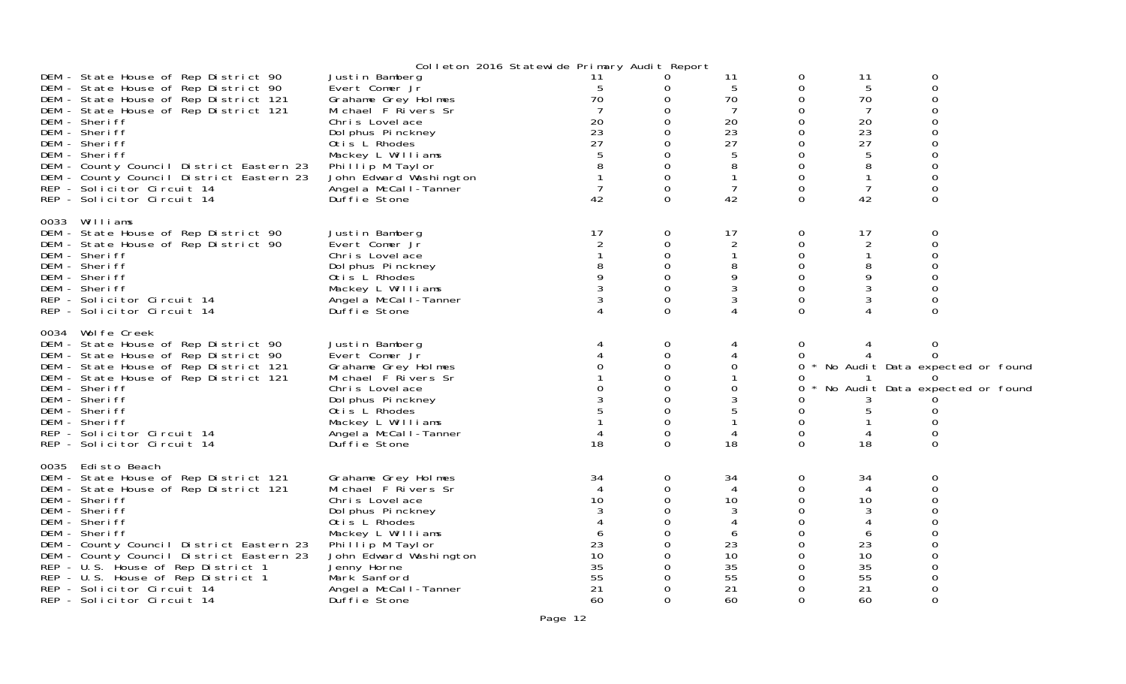|                                                                                                                                                                                                                                                                                                                                                                                                         |                                                                                                                                                                                                                                                     | Colleton 2016 Statewide Primary Audit Report                                    |                                                             |                                                             |                                                                                |                                                                              |                                                                                            |  |
|---------------------------------------------------------------------------------------------------------------------------------------------------------------------------------------------------------------------------------------------------------------------------------------------------------------------------------------------------------------------------------------------------------|-----------------------------------------------------------------------------------------------------------------------------------------------------------------------------------------------------------------------------------------------------|---------------------------------------------------------------------------------|-------------------------------------------------------------|-------------------------------------------------------------|--------------------------------------------------------------------------------|------------------------------------------------------------------------------|--------------------------------------------------------------------------------------------|--|
| DEM - State House of Rep District 90<br>DEM - State House of Rep District 90<br>DEM - State House of Rep District 121<br>DEM - State House of Rep District 121<br>DEM - Sheriff<br>DEM - Sheriff<br>DEM - Sheriff<br>DEM - Sheriff<br>DEM - County Council District Eastern 23<br>DEM - County Council District Eastern 23<br>REP - Solicitor Circuit 14<br>REP - Solicitor Circuit 14                  | Justin Bamberg<br>Evert Comer Jr<br>Grahame Grey Holmes<br>Michael F Rivers Sr<br>Chris Lovelace<br>Dol phus Pinckney<br>Otis L Rhodes<br>Mackey L Williams<br>Phillip M Taylor<br>John Edward Washington<br>Angel a McCal I-Tanner<br>Duffie Stone | -11<br>5<br>70<br>$\overline{7}$<br>20<br>23<br>27<br>5<br>$\overline{7}$<br>42 | 0<br>0<br>0<br>$\Omega$<br>$\Omega$<br>$\Omega$             | 11<br>5<br>70<br>7<br>20<br>23<br>27<br>7<br>42             | 0<br>0<br>0<br>0<br>Ω<br>0<br>0<br>0<br>$\Omega$<br>0<br>$\Omega$              | 11<br>5<br>70<br>$\overline{7}$<br>20<br>23<br>27<br>5<br>8<br>-1<br>7<br>42 | 0<br>0<br>$\Omega$<br>0<br>O<br>0<br>$\Omega$<br>0<br>$\Omega$                             |  |
| 0033 Williams<br>DEM - State House of Rep District 90<br>DEM - State House of Rep District 90<br>DEM - Sheriff<br>DEM - Sheriff<br>DEM - Sheriff<br>DEM - Sheriff<br>REP - Solicitor Circuit 14<br>REP - Solicitor Circuit 14                                                                                                                                                                           | Justin Bamberg<br>Evert Comer Jr<br>Chris Lovelace<br>Dol phus Pinckney<br>Otis L Rhodes<br>Mackey L Williams<br>Angel a McCall-Tanner<br>Duffie Stone                                                                                              | 17                                                                              | 0<br>$\Omega$<br>$\Omega$<br>$\Omega$<br>0<br>$\Omega$      | 17<br>2<br>8<br>9<br>3<br>3                                 | $\Omega$<br>$\Omega$<br>0<br>$\Omega$<br>$\Omega$<br>$\Omega$<br>0<br>$\Omega$ | 17<br>2<br>-1<br>8<br>9<br>3<br>3                                            | 0<br>$\Omega$<br>0<br>∩<br>$\Omega$<br>0<br>$\Omega$                                       |  |
| 0034 Wol fe Creek<br>DEM - State House of Rep District 90<br>DEM - State House of Rep District 90<br>DEM - State House of Rep District 121<br>DEM - State House of Rep District 121<br>DEM - Sheriff<br>DEM - Sheriff<br>DEM - Sheriff<br>DEM - Sheriff<br>REP - Solicitor Circuit 14<br>REP - Solicitor Circuit 14                                                                                     | Justin Bamberg<br>Evert Comer Jr<br>Grahame Grey Holmes<br>Michael F Rivers Sr<br>Chris Lovelace<br>Dol phus Pinckney<br>Otis L Rhodes<br>Mackey L Williams<br>Angel a McCall-Tanner<br>Duffie Stone                                                | 18                                                                              | 0<br>$\Omega$<br>$\Omega$<br>0<br>$\Omega$<br>$\Omega$<br>0 | 18                                                          | $\Omega$<br>0<br>O.<br>0<br>0<br>$\Omega$<br>$\Omega$<br>$\Omega$              | 18                                                                           | 0<br>0<br>0 * No Audit Data expected or found<br>0<br>No Audit Data expected or found<br>0 |  |
| 0035 Edisto Beach<br>DEM - State House of Rep District 121<br>DEM - State House of Rep District 121<br>DEM - Sheriff<br>DEM - Sheriff<br>DEM - Sheriff<br>DEM - Sheriff<br>DEM - County Council District Eastern 23<br>DEM - County Council District Eastern 23<br>REP - U.S. House of Rep District 1<br>REP - U.S. House of Rep District 1<br>REP - Solicitor Circuit 14<br>REP - Solicitor Circuit 14 | Grahame Grey Holmes<br>Michael F Rivers Sr<br>Chris Lovelace<br>Dol phus Pinckney<br>Otis L Rhodes<br>Mackey L Williams<br>Phillip M Taylor<br>John Edward Washington<br>Jenny Horne<br>Mark Sanford<br>Angel a McCall-Tanner<br>Duffie Stone       | 34<br>$\overline{4}$<br>10<br>23<br>10<br>35<br>55<br>21<br>60                  | 0<br>0<br>0<br>0<br><sup>n</sup>                            | 34<br>4<br>10<br>3<br>6<br>23<br>10<br>35<br>55<br>21<br>60 | 0<br>0<br>O<br>O<br>0<br>0<br>0<br>0<br>0<br>0<br>$\Omega$                     | 34<br>4<br>10<br>3<br>4<br>6<br>23<br>10<br>35<br>55<br>21<br>60             | 0<br>0<br>$\Omega$                                                                         |  |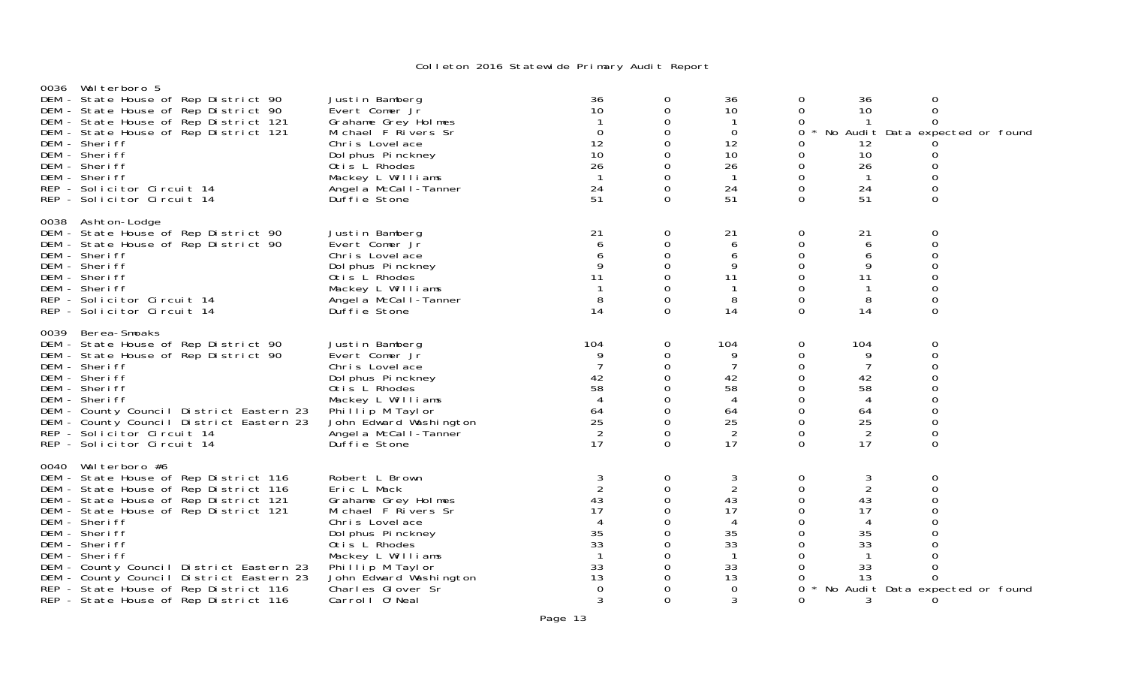| 0036 Walterboro 5<br>DEM - State House of Rep District 90<br>DEM - State House of Rep District 90<br>DEM - State House of Rep District 121<br>DEM - State House of Rep District 121<br>DEM - Sheriff<br>DEM - Sheriff<br>DEM - Sheriff<br>DEM - Sheriff<br>REP - Solicitor Circuit 14<br>REP - Solicitor Circuit 14                                                                                                                  | Justin Bamberg<br>Evert Comer Jr<br>Grahame Grey Holmes<br>Michael F Rivers Sr<br>Chris Lovelace<br>Dol phus Pinckney<br>Otis L Rhodes<br>Mackey L Williams<br>Angel a McCal I-Tanner<br>Duffie Stone                                         | 36<br>10<br>$\mathbf{1}$<br>$\Omega$<br>12<br>10<br>26<br>$\mathbf{1}$<br>24<br>51                                              | $\mathbf 0$<br>$\mathbf 0$<br>$\mathbf 0$<br>$\mathbf 0$<br>$\mathbf 0$<br>$\mathbf 0$<br>0<br>$\mathbf 0$<br>$\Omega$<br>$\Omega$ | 36<br>10<br>-1<br>$\mathbf 0$<br>12<br>10<br>26<br>$\mathbf{1}$<br>24<br>51                        | 0<br>$\Omega$<br>0<br>0<br>0<br>0<br>0<br>0<br>$\Omega$<br>$\Omega$                                | 36<br>10<br>12<br>10<br>26<br>$\overline{1}$<br>24<br>51            | 0<br>0<br>$\Omega$<br>No Audit Data expected or found<br>0<br>$\Omega$<br>$\Omega$<br>$\Omega$<br>$\Omega$                         |
|--------------------------------------------------------------------------------------------------------------------------------------------------------------------------------------------------------------------------------------------------------------------------------------------------------------------------------------------------------------------------------------------------------------------------------------|-----------------------------------------------------------------------------------------------------------------------------------------------------------------------------------------------------------------------------------------------|---------------------------------------------------------------------------------------------------------------------------------|------------------------------------------------------------------------------------------------------------------------------------|----------------------------------------------------------------------------------------------------|----------------------------------------------------------------------------------------------------|---------------------------------------------------------------------|------------------------------------------------------------------------------------------------------------------------------------|
| 0038 Ashton-Lodge<br>DEM - State House of Rep District 90<br>DEM - State House of Rep District 90<br>DEM - Sheriff<br>DEM - Sheriff<br>DEM - Sheriff<br>DEM - Sheriff<br>REP - Solicitor Circuit 14<br>REP - Solicitor Circuit 14                                                                                                                                                                                                    | Justin Bamberg<br>Evert Comer Jr<br>Chris Lovelace<br>Dol phus Pinckney<br>Otis L Rhodes<br>Mackey L Williams<br>Angel a McCal I-Tanner<br>Duffie Stone                                                                                       | 21<br>6<br>6<br>9<br>11<br>8<br>14                                                                                              | 0<br>0<br>$\overline{0}$<br>$\mathbf 0$<br>$\mathbf 0$<br>0<br>$\mathbf 0$<br>$\Omega$                                             | 21<br>6<br>6<br>9<br>11<br>-1<br>8<br>14                                                           | 0<br>0<br>0<br>$\Omega$<br>$\Omega$<br>$\Omega$<br>0<br>$\Omega$                                   | 21<br>6<br>6<br>9<br>11<br>-1<br>8<br>14                            | 0<br>0<br>$\Omega$<br>$\Omega$<br>$\Omega$<br>$\Omega$<br>$\mathbf 0$<br>$\Omega$                                                  |
| 0039 Berea-Smoaks<br>DEM - State House of Rep District 90<br>DEM - State House of Rep District 90<br>DEM - Sheriff<br>DEM - Sheriff<br>DEM - Sheriff<br>DEM - Sheriff<br>DEM - County Council District Eastern 23<br>DEM - County Council District Eastern 23<br>REP - Solicitor Circuit 14<br>REP - Solicitor Circuit 14                                                                                                            | Justin Bamberg<br>Evert Comer Jr<br>Chris Lovelace<br>Dol phus Pinckney<br>Otis L Rhodes<br>Mackey L Williams<br>Phillip M Taylor<br>John Edward Washington<br>Angel a McCal I-Tanner<br>Duffie Stone                                         | 104<br>9<br>7<br>42<br>58<br>$\overline{4}$<br>64<br>25<br>$\overline{2}$<br>17                                                 | 0<br>$\mathbf 0$<br>0<br>$\overline{0}$<br>0<br>$\Omega$<br>$\mathbf 0$<br>$\Omega$<br>0<br>$\Omega$                               | 104<br>9<br>7<br>42<br>58<br>$\overline{4}$<br>64<br>25<br>2<br>17                                 | 0<br>0<br>0<br>$\Omega$<br>$\Omega$<br>$\Omega$<br>0<br>$\Omega$<br>0<br>$\Omega$                  | 104<br>9<br>7<br>42<br>58<br>4<br>64<br>25<br>$\overline{2}$<br>17  | 0<br>0<br>$\Omega$<br>$\Omega$<br>$\Omega$<br>$\Omega$<br>$\Omega$<br>$\Omega$<br>0<br>$\Omega$                                    |
| 0040 Walterboro #6<br>DEM - State House of Rep District 116<br>DEM - State House of Rep District 116<br>DEM - State House of Rep District 121<br>DEM - State House of Rep District 121<br>DEM - Sheriff<br>DEM - Sheriff<br>DEM - Sheriff<br>DEM - Sheriff<br>DEM - County Council District Eastern 23<br>DEM - County Council District Eastern 23<br>REP - State House of Rep District 116<br>REP - State House of Rep District 116 | Robert L Brown<br>Eric L Mack<br>Grahame Grey Holmes<br>Michael F Rivers Sr<br>Chris Lovelace<br>Dol phus Pinckney<br>Otis L Rhodes<br>Mackey L Williams<br>Phillip M Taylor<br>John Edward Washington<br>Charles Glover Sr<br>Carroll 0'Neal | 3<br>$\overline{2}$<br>43<br>17<br>$\boldsymbol{\vartriangle}$<br>35<br>33<br>$\overline{1}$<br>33<br>13<br>$\overline{0}$<br>3 | 0<br>0<br>$\Omega$<br>$\mathbf 0$<br>$\Omega$<br>0<br>$\Omega$<br>0<br>0<br>$\Omega$<br>0<br>$\Omega$                              | 3<br>$\overline{2}$<br>43<br>17<br>4<br>35<br>33<br>$\overline{1}$<br>33<br>13<br>$\mathbf 0$<br>3 | 0<br>$\Omega$<br>$\Omega$<br>0<br>$\Omega$<br>0<br>$\Omega$<br>$\Omega$<br>$\Omega$<br>0<br>0<br>0 | 3<br>2<br>43<br>17<br>4<br>35<br>33<br>$\mathbf 1$<br>33<br>13<br>3 | 0<br>$\Omega$<br>$\Omega$<br>0<br>$\Omega$<br>0<br>$\Omega$<br>$\Omega$<br>$\Omega$<br>$\Omega$<br>No Audit Data expected or found |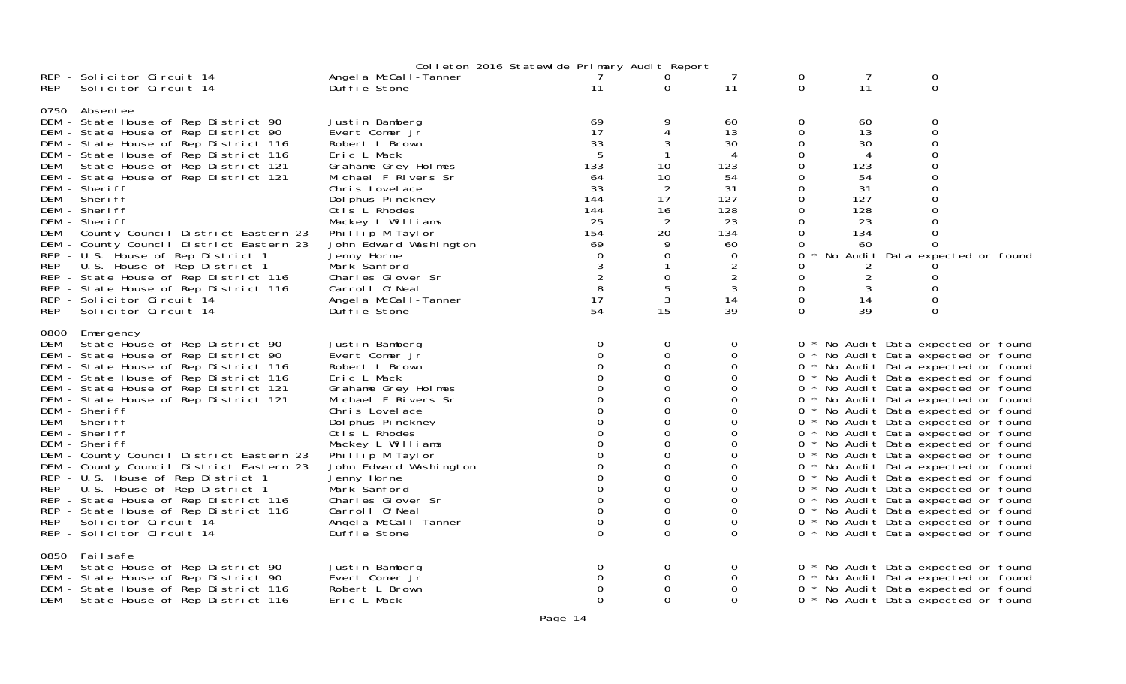|                                                                                                                                                                                                                                                                                                                                                                                                                                                                                                                                                                                                                                                          |                                                                                                                                                                                                                                                                                                                                                            | Colleton 2016 Statewide Primary Audit Report                                                                                                                                                     |                                                                                                                                                          |                                                                                                                                   |                                                                                                                                        |                                                                                                     |                                                                                                                                                                                                                                                                                                                                                                                                                                                                                                                                                                                                                                                                                                                            |  |
|----------------------------------------------------------------------------------------------------------------------------------------------------------------------------------------------------------------------------------------------------------------------------------------------------------------------------------------------------------------------------------------------------------------------------------------------------------------------------------------------------------------------------------------------------------------------------------------------------------------------------------------------------------|------------------------------------------------------------------------------------------------------------------------------------------------------------------------------------------------------------------------------------------------------------------------------------------------------------------------------------------------------------|--------------------------------------------------------------------------------------------------------------------------------------------------------------------------------------------------|----------------------------------------------------------------------------------------------------------------------------------------------------------|-----------------------------------------------------------------------------------------------------------------------------------|----------------------------------------------------------------------------------------------------------------------------------------|-----------------------------------------------------------------------------------------------------|----------------------------------------------------------------------------------------------------------------------------------------------------------------------------------------------------------------------------------------------------------------------------------------------------------------------------------------------------------------------------------------------------------------------------------------------------------------------------------------------------------------------------------------------------------------------------------------------------------------------------------------------------------------------------------------------------------------------------|--|
| REP - Solicitor Circuit 14<br>REP - Solicitor Circuit 14                                                                                                                                                                                                                                                                                                                                                                                                                                                                                                                                                                                                 | Angel a McCall-Tanner<br>Duffie Stone                                                                                                                                                                                                                                                                                                                      | $7^{\circ}$<br>11                                                                                                                                                                                | $\overline{0}$<br>$\Omega$                                                                                                                               | 7<br>11                                                                                                                           | $\Omega$<br>$\Omega$                                                                                                                   | 7<br>11                                                                                             | 0<br>$\mathbf{O}$                                                                                                                                                                                                                                                                                                                                                                                                                                                                                                                                                                                                                                                                                                          |  |
| 0750 Absentee<br>DEM - State House of Rep District 90<br>DEM - State House of Rep District 90<br>DEM - State House of Rep District 116<br>DEM - State House of Rep District 116<br>DEM - State House of Rep District 121<br>DEM - State House of Rep District 121<br>DEM - Sheriff<br>DEM - Sheriff<br>DEM - Sheriff<br>DEM - Sheriff<br>DEM - County Council District Eastern 23<br>DEM - County Council District Eastern 23<br>REP - U.S. House of Rep District 1<br>REP - U.S. House of Rep District 1<br>REP - State House of Rep District 116<br>REP - State House of Rep District 116<br>REP - Solicitor Circuit 14<br>REP - Solicitor Circuit 14  | Justin Bamberg<br>Evert Comer Jr<br>Robert L Brown<br>Eric L Mack<br>Grahame Grey Holmes<br>Michael F Rivers Sr<br>Chris Lovelace<br>Dol phus Pinckney<br>Otis L Rhodes<br>Mackey L Williams<br>Phillip M Taylor<br>John Edward Washington<br>Jenny Horne<br>Mark Sanford<br>Charles Glover Sr<br>Carroll 0'Neal<br>Angel a McCall-Tanner<br>Duffie Stone  | 69<br>17<br>33<br>-5<br>133<br>64<br>33<br>144<br>144<br>25<br>154<br>69<br>$\Omega$<br>3<br>8<br>17<br>54                                                                                       | 3<br>10<br>10<br>2<br>17<br>16<br>$\overline{2}$<br>20<br>9<br>$\Omega$<br>0<br>5<br>3<br>15                                                             | 60<br>13<br>30<br>4<br>123<br>54<br>31<br>127<br>128<br>23<br>134<br>60<br>0<br>$\overline{2}$<br>$\overline{2}$<br>3<br>14<br>39 | 0<br>0<br>0<br>0<br>0<br>0<br>$\mathbf 0$<br>$\mathbf 0$<br>0<br>0<br>$\Omega$<br>0<br>0<br>0<br>$\Omega$<br>0<br>$\Omega$<br>$\Omega$ | 60<br>13<br>30<br>4<br>123<br>54<br>31<br>127<br>128<br>23<br>134<br>-60<br>2<br>2<br>3<br>14<br>39 | 0<br>$\mathbf 0$<br>$\mathbf 0$<br>$\Omega$<br>$\mathbf 0$<br>$\Omega$<br>0<br>$\Omega$<br>No Audit Data expected or found<br>0<br>0<br>$\Omega$                                                                                                                                                                                                                                                                                                                                                                                                                                                                                                                                                                           |  |
| 0800 Emergency<br>DEM - State House of Rep District 90<br>DEM - State House of Rep District 90<br>DEM - State House of Rep District 116<br>DEM - State House of Rep District 116<br>DEM - State House of Rep District 121<br>DEM - State House of Rep District 121<br>DEM - Sheriff<br>DEM - Sheriff<br>DEM - Sheriff<br>DEM - Sheriff<br>DEM - County Council District Eastern 23<br>DEM - County Council District Eastern 23<br>REP - U.S. House of Rep District 1<br>REP - U.S. House of Rep District 1<br>REP - State House of Rep District 116<br>REP - State House of Rep District 116<br>REP - Solicitor Circuit 14<br>REP - Solicitor Circuit 14 | Justin Bamberg<br>Evert Comer Jr<br>Robert L Brown<br>Eric L Mack<br>Grahame Grey Holmes<br>Michael F Rivers Sr<br>Chris Lovelace<br>Dol phus Pinckney<br>Otis L Rhodes<br>Mackey L Williams<br>Phillip M Taylor<br>John Edward Washington<br>Jenny Horne<br>Mark Sanford<br>Charles Glover Sr<br>Carroll O'Neal<br>Angel a McCal I-Tanner<br>Duffie Stone | $\overline{0}$<br>$\Omega$<br>$\Omega$<br>0<br>$\Omega$<br>$\Omega$<br>$\Omega$<br>$\Omega$<br>$\Omega$<br>$\Omega$<br>0<br>$\Omega$<br>$\Omega$<br>$\Omega$<br>$\Omega$<br>$\Omega$<br>$\Omega$ | 0<br>$\mathbf 0$<br>0<br>$\Omega$<br>0<br>$\Omega$<br>$\Omega$<br>$\Omega$<br>0<br>$\Omega$<br>0<br>0<br>0<br>$\Omega$<br>$\Omega$<br>0<br>0<br>$\Omega$ | 0<br>0<br>0<br>0<br>0<br>$\Omega$<br>0<br>$\Omega$<br>0<br>0<br>0<br>0<br>0<br>0<br>0<br>$\Omega$<br>0<br>$\Omega$                |                                                                                                                                        |                                                                                                     | 0 * No Audit Data expected or found<br>0 * No Audit Data expected or found<br>0 * No Audit Data expected or found<br>0 * No Audit Data expected or found<br>0 * No Audit Data expected or found<br>0 * No Audit Data expected or found<br>0 * No Audit Data expected or found<br>0 * No Audit Data expected or found<br>0 * No Audit Data expected or found<br>0 * No Audit Data expected or found<br>0 * No Audit Data expected or found<br>0 * No Audit Data expected or found<br>0 * No Audit Data expected or found<br>0 * No Audit Data expected or found<br>0 * No Audit Data expected or found<br>0 * No Audit Data expected or found<br>0 * No Audit Data expected or found<br>0 * No Audit Data expected or found |  |
| 0850 Failsafe<br>DEM - State House of Rep District 90<br>DEM - State House of Rep District 90<br>DEM - State House of Rep District 116<br>DEM - State House of Rep District 116                                                                                                                                                                                                                                                                                                                                                                                                                                                                          | Justin Bamberg<br>Evert Comer Jr<br>Robert L Brown<br>Eric L Mack                                                                                                                                                                                                                                                                                          | 0<br>$\Omega$<br>0<br>$\Omega$                                                                                                                                                                   | $\overline{0}$<br>0<br>0<br>$\Omega$                                                                                                                     | 0<br>0<br>0<br>$\Omega$                                                                                                           |                                                                                                                                        |                                                                                                     | 0 * No Audit Data expected or found<br>0 * No Audit Data expected or found<br>0 * No Audit Data expected or found<br>0 * No Audit Data expected or found                                                                                                                                                                                                                                                                                                                                                                                                                                                                                                                                                                   |  |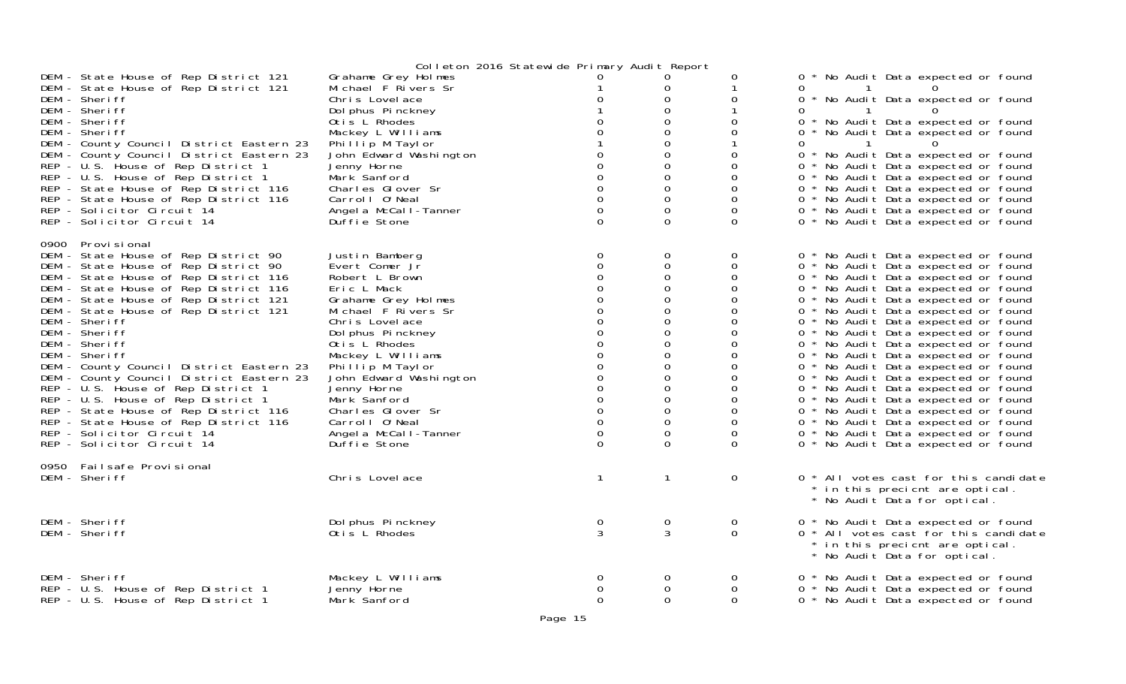|                                                                                      |                                            | Colleton 2016 Statewide Primary Audit Report |                  |               |                                                                                                          |
|--------------------------------------------------------------------------------------|--------------------------------------------|----------------------------------------------|------------------|---------------|----------------------------------------------------------------------------------------------------------|
| DEM - State House of Rep District 121<br>DEM - State House of Rep District 121       | Grahame Grey Holmes<br>Michael F Rivers Sr | $\Omega$                                     | 0<br>0           | 0             | 0 * No Audit Data expected or found<br>$\Omega$                                                          |
| DEM - Sheriff<br>DEM - Sheriff                                                       | Chris Lovelace<br>Dol phus Pinckney        | 0                                            | 0<br>0           | 0             | 0 * No Audit Data expected or found<br>0                                                                 |
| DEM - Sheriff<br>DEM - Sheriff                                                       | Otis L Rhodes<br>Mackey L Williams         |                                              | 0<br>0           | 0<br>0        | 0 * No Audit Data expected or found<br>0 * No Audit Data expected or found                               |
| DEM - County Council District Eastern 23                                             | Phillip M Taylor                           |                                              | 0                |               | 0                                                                                                        |
| DEM - County Council District Eastern 23<br>REP - U.S. House of Rep District 1       | John Edward Washington<br>Jenny Horne      | 0<br>$\Omega$                                | 0<br>0           | 0<br>0        | 0 * No Audit Data expected or found<br>0 * No Audit Data expected or found                               |
| REP - U.S. House of Rep District 1<br>REP - State House of Rep District 116          | Mark Sanford<br>Charles Glover Sr          | 0<br>$\Omega$                                | 0<br>0           | 0<br>0        | 0 * No Audit Data expected or found<br>0 * No Audit Data expected or found                               |
| REP - State House of Rep District 116                                                | Carrol   0' Neal                           | $\mathbf 0$                                  | 0                | 0             | 0 * No Audit Data expected or found                                                                      |
| REP - Solicitor Circuit 14<br>REP - Solicitor Circuit 14                             | Angel a McCall-Tanner<br>Duffie Stone      | $\mathbf 0$<br>$\mathbf{O}$                  | 0<br>0           | 0<br>$\Omega$ | 0 * No Audit Data expected or found<br>0 * No Audit Data expected or found                               |
| 0900 Provisional                                                                     |                                            |                                              |                  |               |                                                                                                          |
| DEM - State House of Rep District 90                                                 | Justin Bamberg                             | 0                                            | 0                | 0             | 0 * No Audit Data expected or found                                                                      |
| DEM - State House of Rep District 90<br>DEM - State House of Rep District 116        | Evert Comer Jr<br>Robert L Brown           | 0                                            | 0<br>0           | 0<br>0        | 0 * No Audit Data expected or found<br>0 * No Audit Data expected or found                               |
| DEM - State House of Rep District 116                                                | Eric L Mack                                | 0                                            | 0                | 0             | 0 * No Audit Data expected or found                                                                      |
| DEM - State House of Rep District 121<br>DEM - State House of Rep District 121       | Grahame Grey Holmes<br>Michael F Rivers Sr | 0                                            | 0<br>0           | 0<br>0        | 0 * No Audit Data expected or found<br>0 * No Audit Data expected or found                               |
| DEM - Sheriff                                                                        | Chris Lovelace                             | 0                                            | 0                | 0             | 0 * No Audit Data expected or found                                                                      |
| DEM - Sheriff<br>DEM - Sheriff                                                       | Dol phus Pinckney<br>Otis L Rhodes         | 0<br>$\Omega$                                | 0<br>0           | 0<br>0        | 0 * No Audit Data expected or found<br>0 * No Audit Data expected or found                               |
| DEM - Sheriff                                                                        | Mackey L Williams                          | 0                                            | 0                | 0             | 0 * No Audit Data expected or found                                                                      |
| DEM - County Council District Eastern 23<br>DEM - County Council District Eastern 23 | Phillip M Taylor<br>John Edward Washington | 0<br>$\Omega$                                | 0<br>0           | 0<br>0        | 0 * No Audit Data expected or found<br>0 * No Audit Data expected or found                               |
| REP - U.S. House of Rep District 1                                                   | Jenny Horne                                | 0                                            | 0                | 0             | 0 * No Audit Data expected or found                                                                      |
| REP - U.S. House of Rep District 1<br>REP - State House of Rep District 116          | Mark Sanford<br>Charles Glover Sr          | $\Omega$<br>0                                | $\Omega$<br>0    | 0<br>0        | 0 * No Audit Data expected or found<br>0 * No Audit Data expected or found                               |
| REP - State House of Rep District 116                                                | Carroll O'Neal                             | $\mathbf 0$                                  | 0                | 0             | 0 * No Audit Data expected or found                                                                      |
| REP - Solicitor Circuit 14<br>REP - Solicitor Circuit 14                             | Angel a McCall-Tanner<br>Duffie Stone      | 0<br>$\Omega$                                | 0<br>$\Omega$    | 0<br>$\Omega$ | 0 * No Audit Data expected or found<br>0 * No Audit Data expected or found                               |
| 0950 Failsafe Provisional                                                            |                                            |                                              |                  |               |                                                                                                          |
| DEM - Sheriff                                                                        | Chris Lovelace                             | $\mathbf{1}$                                 | $\mathbf{1}$     | $\mathbf{O}$  | 0 * All votes cast for this candidate<br>* in this precient are optical.<br>* No Audit Data for optical. |
| DEM - Sheriff                                                                        | Dol phus Pinckney                          | 0                                            | $\mathbf 0$      | 0             | 0 * No Audit Data expected or found                                                                      |
| DEM - Sheriff                                                                        | Otis L Rhodes                              | 3                                            | 3                | 0             | 0 * All votes cast for this candidate<br>* in this precient are optical.<br>* No Audit Data for optical. |
| DEM - Sheriff                                                                        | Mackey L Williams                          | 0                                            | $\mathbf 0$      | 0             | 0 * No Audit Data expected or found                                                                      |
| REP - U.S. House of Rep District 1<br>REP - U.S. House of Rep District 1             | Jenny Horne<br>Mark Sanford                | 0<br>$\Omega$                                | 0<br>$\mathbf 0$ | 0<br>$\Omega$ | 0 * No Audit Data expected or found<br>0 * No Audit Data expected or found                               |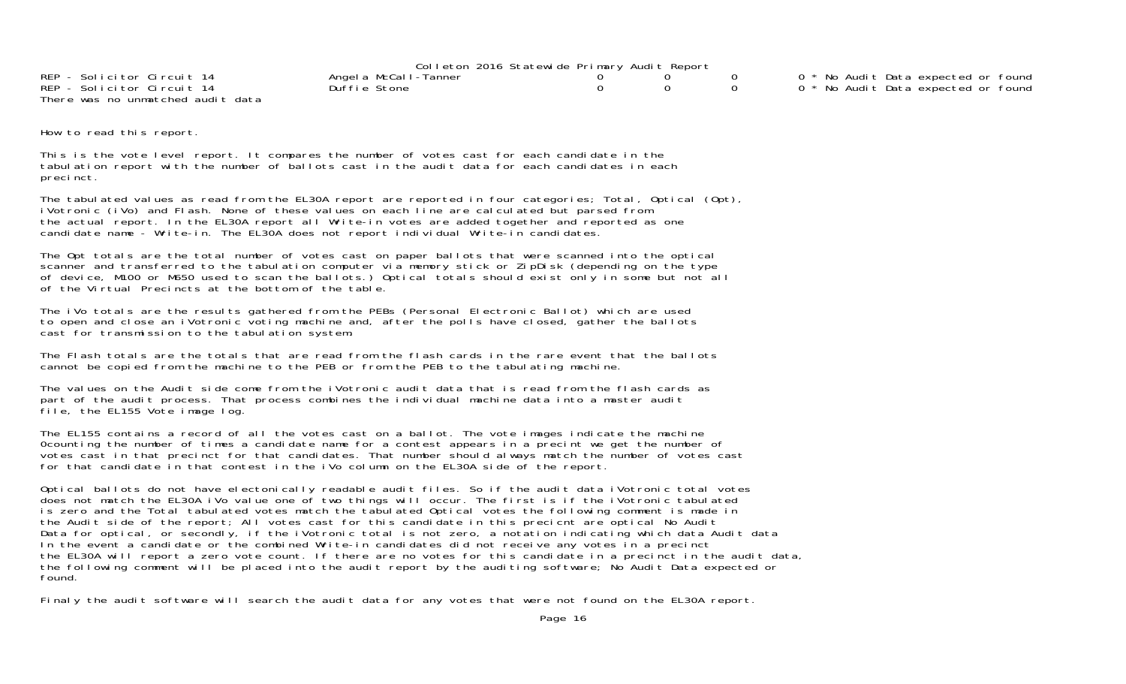|                                   | Colleton 2016 Statewide Primary Audit Report |  |                                                |
|-----------------------------------|----------------------------------------------|--|------------------------------------------------|
| REP - Solicitor Circuit 14        | Angel a McCall-Tanner                        |  | 0 <sup>*</sup> No Audit Data expected or found |
| REP - Solicitor Circuit 14        | Duffie Stone                                 |  | 0 <sup>*</sup> No Audit Data expected or found |
| There was no unmatched audit data |                                              |  |                                                |

How to read this report.

This is the vote level report. It compares the number of votes cast for each candidate in the tabulation report with the number of ballots cast in the audit data for each candidates in each precinct.

The tabulated values as read from the EL30A report are reported in four categories; Total, Optical (Opt), iVotronic (iVo) and Flash. None of these values on each line are calculated but parsed from the actual report. In the EL30A report all Write-in votes are added together and reported as one candidate name - Write-in. The EL30A does not report individual Write-in candidates.

The Opt totals are the total number of votes cast on paper ballots that were scanned into the optical scanner and transferred to the tabulation computer via memory stick or ZipDisk (depending on the type of device, M100 or M650 used to scan the ballots.) Optical totals should exist only in some but not all of the Virtual Precincts at the bottom of the table.

The iVo totals are the results gathered from the PEBs (Personal Electronic Ballot) which are used to open and close an iVotronic voting machine and, after the polls have closed, gather the ballots cast for transmission to the tabulation system.

The Flash totals are the totals that are read from the flash cards in the rare event that the ballots cannot be copied from the machine to the PEB or from the PEB to the tabulating machine.

The values on the Audit side come from the iVotronic audit data that is read from the flash cards as part of the audit process. That process combines the individual machine data into a master audit file, the EL155 Vote image log.

The EL155 contains a record of all the votes cast on a ballot. The vote images indicate the machine 0counting the number of times a candidate name for a contest appears in a precint we get the number of votes cast in that precinct for that candidates. That number should always match the number of votes cast for that candidate in that contest in the iVo column on the EL30A side of the report.

Optical ballots do not have electonically readable audit files. So if the audit data iVotronic total votes does not match the EL30A iVo value one of two things will occur. The first is if the iVotronic tabulated is zero and the Total tabulated votes match the tabulated Optical votes the following comment is made in the Audit side of the report; All votes cast for this candidate in this precicnt are optical No Audit Data for optical, or secondly, if the iVotronic total is not zero, a notation indicating which data Audit data In the event a candidate or the combined Write-in candidates did not receive any votes in a precinct the EL30A will report a zero vote count. If there are no votes for this candidate in a precinct in the audit data, the following comment will be placed into the audit report by the auditing software; No Audit Data expected or found.

Finaly the audit software will search the audit data for any votes that were not found on the EL30A report.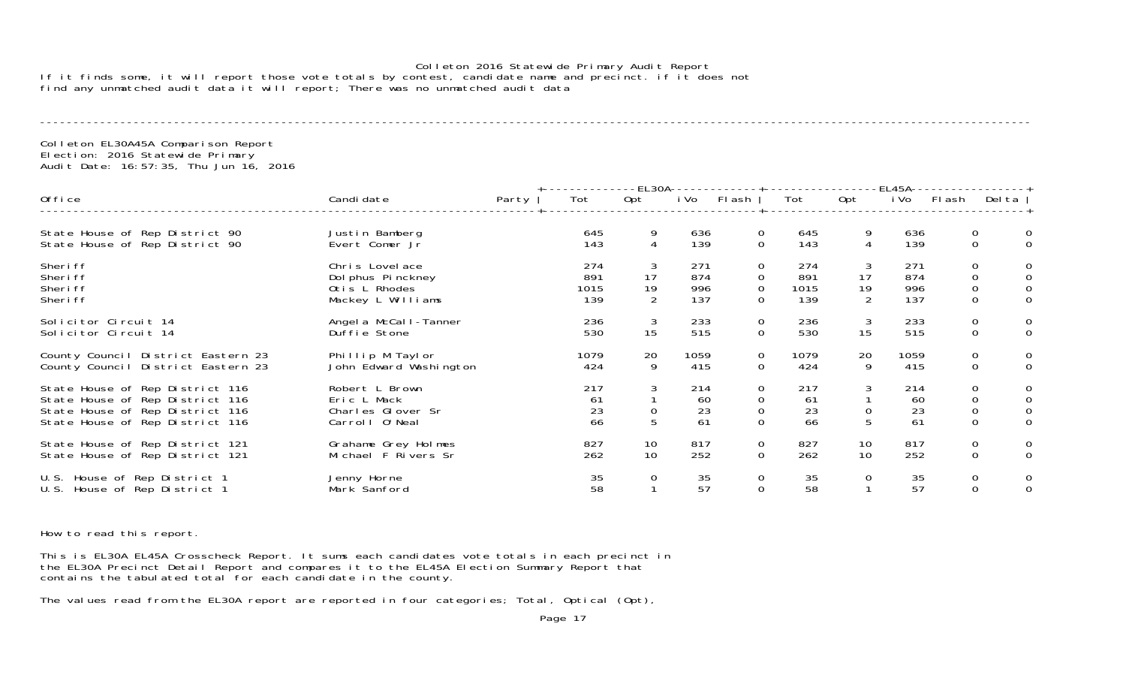#### Colleton 2016 Statewide Primary Audit Report If it finds some, it will report those vote totals by contest, candidate name and precinct. if it does not find any unmatched audit data it will report; There was no unmatched audit data

----------------------------------------------------------------------------------------------------------------------------------------------------

Colleton EL30A45A Comparison Report Election: 2016 Statewide Primary Audit Date: 16:57:35, Thu Jun 16, 2016

|                                                                                                                                          |                                                                           |       |                           |                                 |                          | -EL30A-------------+--                                    |                           |                                                   | -EL45A--                 |                                                                  |                |                                                 |
|------------------------------------------------------------------------------------------------------------------------------------------|---------------------------------------------------------------------------|-------|---------------------------|---------------------------------|--------------------------|-----------------------------------------------------------|---------------------------|---------------------------------------------------|--------------------------|------------------------------------------------------------------|----------------|-------------------------------------------------|
| Office                                                                                                                                   | Candi date                                                                | Party | Tot                       | Opt                             | i Vo                     | Flash                                                     | Tot                       | Opt                                               | i Vo                     | Flash                                                            | Delta $ $      |                                                 |
| State House of Rep District 90<br>State House of Rep District 90                                                                         | Justin Bamberg<br>Evert Comer Jr                                          |       | 645<br>143                | 9<br>4                          | 636<br>139               | 0<br>$\mathbf 0$                                          | 645<br>143                | 9<br>4                                            | 636<br>139               | 0<br>$\mathbf 0$                                                 |                | $\mathbf{O}$<br>$\overline{0}$                  |
| Sheri ff<br>Sheri ff<br>Sheri ff<br>Sheri ff                                                                                             | Chris Lovelace<br>Dol phus Pinckney<br>Otis L Rhodes<br>Mackey L Williams |       | 274<br>891<br>1015<br>139 | 3<br>17<br>19<br>$\overline{2}$ | 271<br>874<br>996<br>137 | 0<br>$\mathbf 0$<br>$\mathbf 0$<br>$\overline{0}$         | 274<br>891<br>1015<br>139 | 3<br>17<br>$\begin{array}{c} 19 \\ 2 \end{array}$ | 271<br>874<br>996<br>137 | 0<br>$\mathsf{O}\xspace$<br>$\mathsf O$<br>$\mathbf 0$           | $\mathbf 0$    | 0<br>$\begin{smallmatrix}0\\0\end{smallmatrix}$ |
| Solicitor Circuit 14<br>Solicitor Circuit 14                                                                                             | Angel a McCal I-Tanner<br>Duffie Stone                                    |       | 236<br>530                | 3<br>15                         | 233<br>515               | 0<br>$\overline{0}$                                       | 236<br>530                | 3<br>15                                           | 233<br>515               | $\mathbf 0$<br>$\mathbf 0$                                       | $\overline{0}$ | 0                                               |
| County Council District Eastern 23<br>County Council District Eastern 23                                                                 | Phillip M Taylor<br>John Edward Washington                                |       | 1079<br>424               | 20<br>9                         | 1059<br>415              | $\mathbf 0$<br>$\overline{0}$                             | 1079<br>424               | 20<br>9                                           | 1059<br>415              | $\mathbf 0$<br>$\mathbf 0$                                       | $\overline{0}$ | $\mathbf{0}$                                    |
| State House of Rep District 116<br>State House of Rep District 116<br>State House of Rep District 116<br>State House of Rep District 116 | Robert L Brown<br>Eric L Mack<br>Charles Glover Sr<br>Carroll O'Neal      |       | 217<br>61<br>23<br>66     | 3                               | 214<br>60<br>23<br>61    | 0<br>$\mathbf 0$<br>$\mathsf{O}\xspace$<br>$\overline{O}$ | 217<br>61<br>23<br>66     | 3<br>0<br>5                                       | 214<br>60<br>23<br>61    | $\mathbf 0$<br>$\mathsf{O}\xspace$<br>$\mathsf O$<br>$\mathbf 0$ | $\mathbf 0$    | 0<br>$\mathsf{O}$<br>$\mathbf{O}$               |
| State House of Rep District 121<br>State House of Rep District 121                                                                       | Grahame Grey Holmes<br>Michael F Rivers Sr                                |       | 827<br>262                | 10<br>10                        | 817<br>252               | $\mathbf 0$<br>$\mathbf 0$                                | 827<br>262                | 10<br>10                                          | 817<br>252               | $\mathbf 0$<br>$\mathbf 0$                                       |                | 0<br>$\mathbf{O}$                               |
| U.S. House of Rep District 1<br>U.S. House of Rep District 1                                                                             | Jenny Horne<br>Mark Sanford                                               |       | 35<br>58                  | 0                               | 35<br>57                 | 0<br>$\overline{0}$                                       | 35<br>58                  | 0                                                 | 35<br>57                 | $\mathbf 0$<br>$\mathbf 0$                                       |                | 0<br>$\mathbf{O}$                               |

How to read this report.

This is EL30A EL45A Crosscheck Report. It sums each candidates vote totals in each precinct in the EL30A Precinct Detail Report and compares it to the EL45A Election Summary Report that contains the tabulated total for each candidate in the county.

The values read from the EL30A report are reported in four categories; Total, Optical (Opt),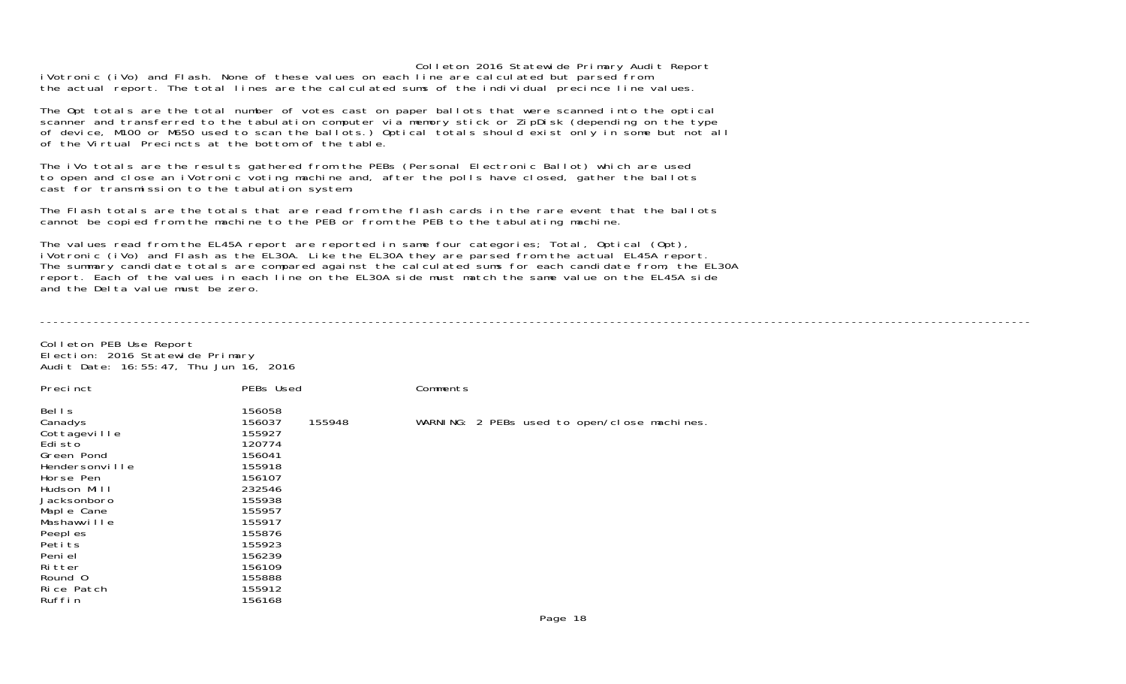Colleton 2016 Statewide Primary Audit Report iVotronic (iVo) and Flash. None of these values on each line are calculated but parsed from the actual report. The total lines are the calculated sums of the individual precince line values.

The Opt totals are the total number of votes cast on paper ballots that were scanned into the optical scanner and transferred to the tabulation computer via memory stick or ZipDisk (depending on the type of device, M100 or M650 used to scan the ballots.) Optical totals should exist only in some but not all of the Virtual Precincts at the bottom of the table.

The iVo totals are the results gathered from the PEBs (Personal Electronic Ballot) which are used to open and close an iVotronic voting machine and, after the polls have closed, gather the ballots cast for transmission to the tabulation system.

The Flash totals are the totals that are read from the flash cards in the rare event that the ballots cannot be copied from the machine to the PEB or from the PEB to the tabulating machine.

The values read from the EL45A report are reported in same four categories; Total, Optical (Opt), iVotronic (iVo) and Flash as the EL30A. Like the EL30A they are parsed from the actual EL45A report. The summary candidate totals are compared against the calculated sums for each candidate from, the EL30A report. Each of the values in each line on the EL30A side must match the same value on the EL45A side and the Delta value must be zero.

----------------------------------------------------------------------------------------------------------------------------------------------------

Colleton PEB Use Report Election: 2016 Statewide Primary Audit Date: 16:55:47, Thu Jun 16, 2016

| Precinct                                                                                                | PEBs Used                                                                              | Comments                                     |
|---------------------------------------------------------------------------------------------------------|----------------------------------------------------------------------------------------|----------------------------------------------|
| Bells<br>Canadys<br>Cottageville<br>Edi sto<br>Green Pond<br>Hendersonville<br>Horse Pen<br>Hudson Mill | 156058<br>155948<br>156037<br>155927<br>120774<br>156041<br>155918<br>156107<br>232546 | WARNING: 2 PEBs used to open/close machines. |
| Jacksonboro<br>Maple Cane<br>Mashawville<br>Peepl es<br>Petits<br>Peni el<br>Ri tter                    | 155938<br>155957<br>155917<br>155876<br>155923<br>156239<br>156109                     |                                              |
| Round 0<br>Rice Patch<br>Ruffin                                                                         | 155888<br>155912<br>156168                                                             |                                              |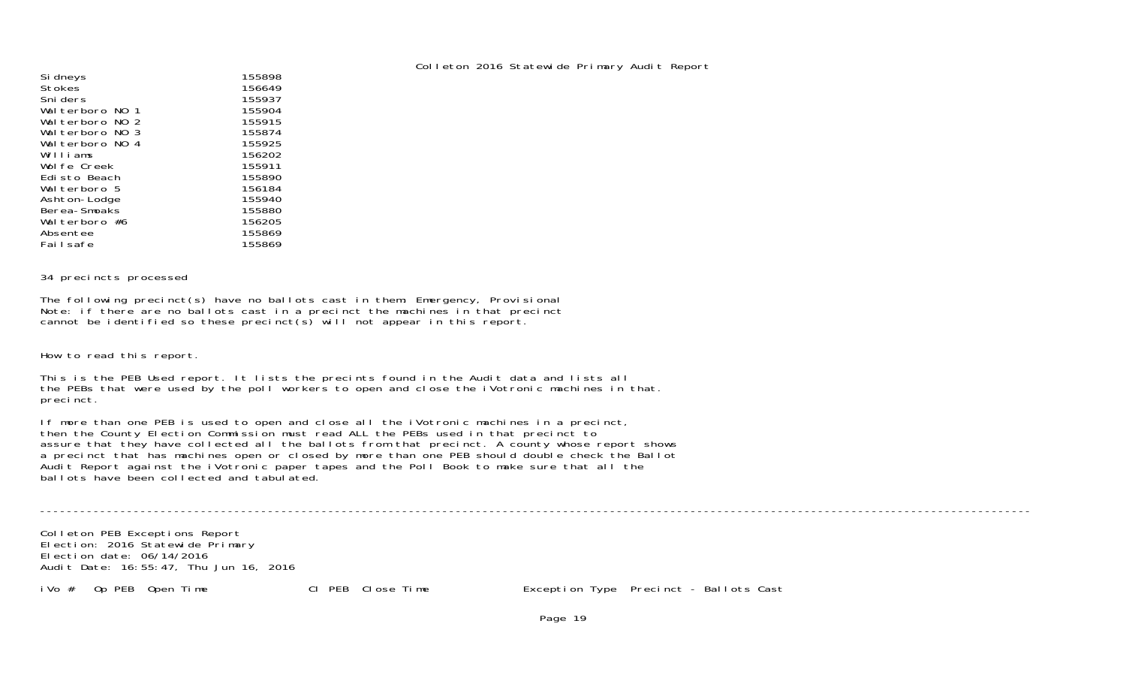| Colleton 2016 Statewide Primary Audit Report |  |  |  |  |
|----------------------------------------------|--|--|--|--|
|----------------------------------------------|--|--|--|--|

| Si dneys                       | 155898 |
|--------------------------------|--------|
| <b>Stokes</b>                  | 156649 |
| Sni ders                       | 155937 |
| Walterboro NO 1                | 155904 |
| Walterboro NO<br>$\mathcal{P}$ | 155915 |
| Walterboro NO 3                | 155874 |
| Walterboro NO 4                | 155925 |
| Williams                       | 156202 |
| Wolfe Creek                    | 155911 |
| Edisto Beach                   | 155890 |
| Walterboro 5                   | 156184 |
| Ashton-Lodge                   | 155940 |
| Berea-Smoaks                   | 155880 |
| Walterboro #6                  | 156205 |
| Absentee                       | 155869 |
| Failsafe                       | 155869 |
|                                |        |

#### 34 precincts processed

The following precinct(s) have no ballots cast in them: Emergency, Provisional Note: if there are no ballots cast in a precinct the machines in that precinct cannot be identified so these precinct(s) will not appear in this report.

How to read this report.

This is the PEB Used report. It lists the precints found in the Audit data and lists all the PEBs that were used by the poll workers to open and close the iVotronic machines in that. precinct.

If more than one PEB is used to open and close all the iVotronic machines in a precinct, then the County Election Commission must read ALL the PEBs used in that precinct to assure that they have collected all the ballots from that precinct. A county whose report shows a precinct that has machines open or closed by more than one PEB should double check the Ballot Audit Report against the iVotronic paper tapes and the Poll Book to make sure that all the ballots have been collected and tabulated.

----------------------------------------------------------------------------------------------------------------------------------------------------

Colleton PEB Exceptions Report Election: 2016 Statewide Primary Election date: 06/14/2016Audit Date: 16:55:47, Thu Jun 16, 2016

iVo # Op PEB Open Time Cl PEB Close Time Exception Type Precinct - Ballots Cast